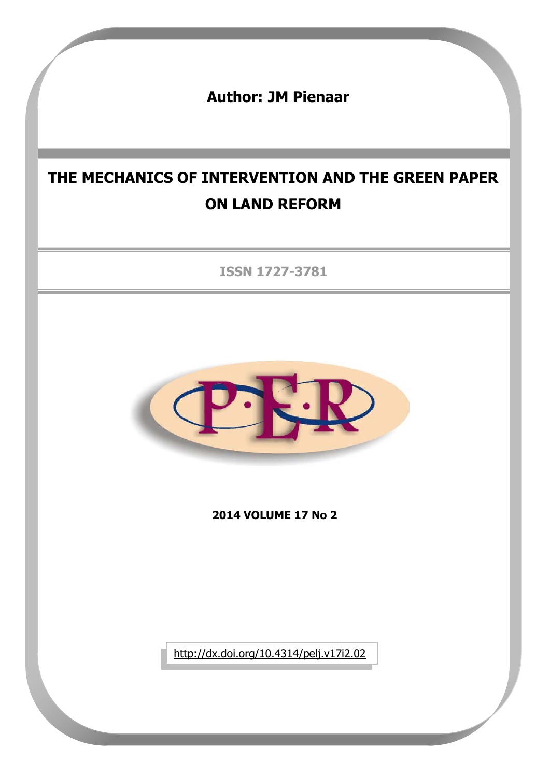**Author: JM Pienaar**

# **THE MECHANICS OF INTERVENTION AND THE GREEN PAPER ON LAND REFORM**

**ISSN 1727-3781**



**2014 VOLUME 17 No 2**

<http://dx.doi.org/10.4314/pelj.v17i2.02>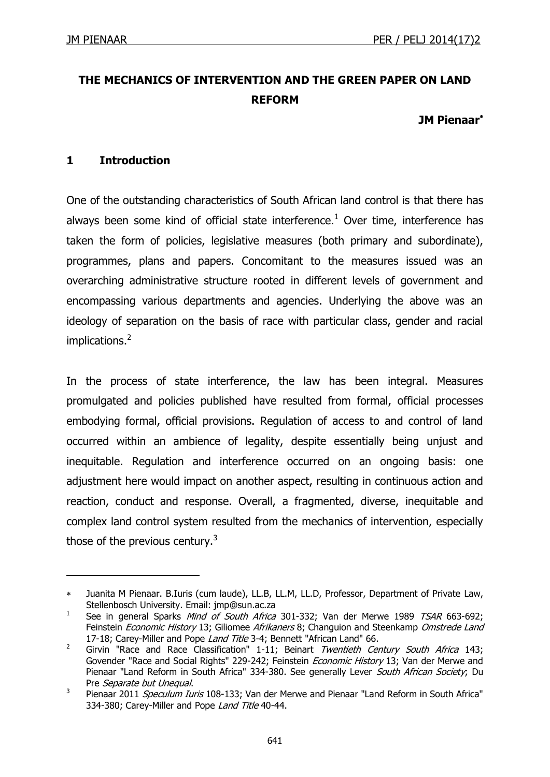# **THE MECHANICS OF INTERVENTION AND THE GREEN PAPER ON LAND REFORM**

# **JM Pienaar**

# **1 Introduction**

-

One of the outstanding characteristics of South African land control is that there has always been some kind of official state interference.<sup>1</sup> Over time, interference has taken the form of policies, legislative measures (both primary and subordinate), programmes, plans and papers. Concomitant to the measures issued was an overarching administrative structure rooted in different levels of government and encompassing various departments and agencies. Underlying the above was an ideology of separation on the basis of race with particular class, gender and racial implications.<sup>2</sup>

In the process of state interference, the law has been integral. Measures promulgated and policies published have resulted from formal, official processes embodying formal, official provisions. Regulation of access to and control of land occurred within an ambience of legality, despite essentially being unjust and inequitable. Regulation and interference occurred on an ongoing basis: one adjustment here would impact on another aspect, resulting in continuous action and reaction, conduct and response. Overall, a fragmented, diverse, inequitable and complex land control system resulted from the mechanics of intervention, especially those of the previous century. $3$ 

Juanita M Pienaar. B.Iuris (cum laude), LL.B, LL.M, LL.D, Professor, Department of Private Law, Stellenbosch University. Email: jmp@sun.ac.za

<sup>1</sup> See in general Sparks Mind of South Africa 301-332; Van der Merwe 1989 TSAR 663-692; Feinstein Economic History 13; Giliomee Afrikaners 8; Changuion and Steenkamp Omstrede Land 17-18; Carey-Miller and Pope Land Title 3-4; Bennett "African Land" 66.

<sup>&</sup>lt;sup>2</sup> Girvin "Race and Race Classification" 1-11; Beinart *Twentieth Century South Africa* 143; Govender "Race and Social Rights" 229-242; Feinstein Economic History 13; Van der Merwe and Pienaar "Land Reform in South Africa" 334-380. See generally Lever South African Society; Du Pre Separate but Unequal.

<sup>3</sup> Pienaar 2011 Speculum Iuris 108-133; Van der Merwe and Pienaar "Land Reform in South Africa" 334-380; Carey-Miller and Pope Land Title 40-44.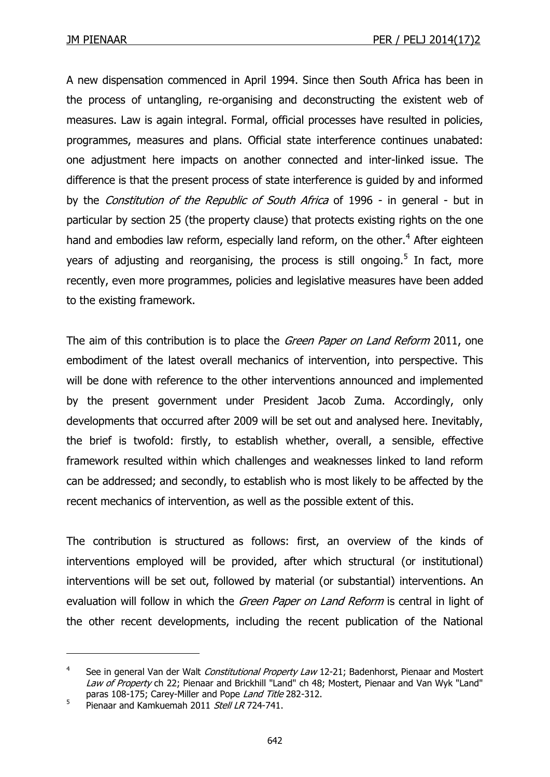A new dispensation commenced in April 1994. Since then South Africa has been in the process of untangling, re-organising and deconstructing the existent web of measures. Law is again integral. Formal, official processes have resulted in policies, programmes, measures and plans. Official state interference continues unabated: one adjustment here impacts on another connected and inter-linked issue. The difference is that the present process of state interference is guided by and informed by the *Constitution of the Republic of South Africa* of 1996 - in general - but in particular by section 25 (the property clause) that protects existing rights on the one hand and embodies law reform, especially land reform, on the other.<sup>4</sup> After eighteen years of adjusting and reorganising, the process is still ongoing.<sup>5</sup> In fact, more recently, even more programmes, policies and legislative measures have been added to the existing framework.

The aim of this contribution is to place the *Green Paper on Land Reform* 2011, one embodiment of the latest overall mechanics of intervention, into perspective. This will be done with reference to the other interventions announced and implemented by the present government under President Jacob Zuma. Accordingly, only developments that occurred after 2009 will be set out and analysed here. Inevitably, the brief is twofold: firstly, to establish whether, overall, a sensible, effective framework resulted within which challenges and weaknesses linked to land reform can be addressed; and secondly, to establish who is most likely to be affected by the recent mechanics of intervention, as well as the possible extent of this.

The contribution is structured as follows: first, an overview of the kinds of interventions employed will be provided, after which structural (or institutional) interventions will be set out, followed by material (or substantial) interventions. An evaluation will follow in which the *Green Paper on Land Reform* is central in light of the other recent developments, including the recent publication of the National

<sup>4</sup> See in general Van der Walt Constitutional Property Law 12-21; Badenhorst, Pienaar and Mostert Law of Property ch 22; Pienaar and Brickhill "Land" ch 48; Mostert, Pienaar and Van Wyk "Land" paras 108-175; Carey-Miller and Pope Land Title 282-312.

<sup>5</sup> Pienaar and Kamkuemah 2011 Stell LR 724-741.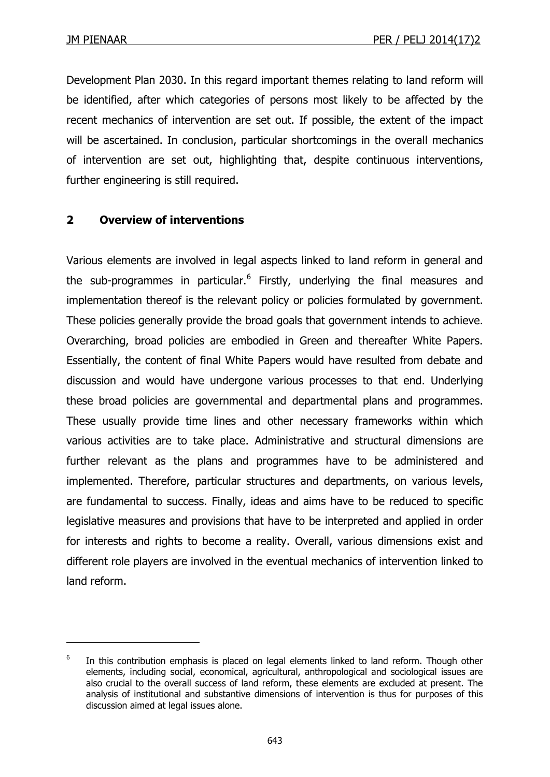-

Development Plan 2030. In this regard important themes relating to land reform will be identified, after which categories of persons most likely to be affected by the recent mechanics of intervention are set out. If possible, the extent of the impact will be ascertained. In conclusion, particular shortcomings in the overall mechanics of intervention are set out, highlighting that, despite continuous interventions, further engineering is still required.

# **2 Overview of interventions**

Various elements are involved in legal aspects linked to land reform in general and the sub-programmes in particular.<sup>6</sup> Firstly, underlying the final measures and implementation thereof is the relevant policy or policies formulated by government. These policies generally provide the broad goals that government intends to achieve. Overarching, broad policies are embodied in Green and thereafter White Papers. Essentially, the content of final White Papers would have resulted from debate and discussion and would have undergone various processes to that end. Underlying these broad policies are governmental and departmental plans and programmes. These usually provide time lines and other necessary frameworks within which various activities are to take place. Administrative and structural dimensions are further relevant as the plans and programmes have to be administered and implemented. Therefore, particular structures and departments, on various levels, are fundamental to success. Finally, ideas and aims have to be reduced to specific legislative measures and provisions that have to be interpreted and applied in order for interests and rights to become a reality. Overall, various dimensions exist and different role players are involved in the eventual mechanics of intervention linked to land reform.

<sup>6</sup> In this contribution emphasis is placed on legal elements linked to land reform. Though other elements, including social, economical, agricultural, anthropological and sociological issues are also crucial to the overall success of land reform, these elements are excluded at present. The analysis of institutional and substantive dimensions of intervention is thus for purposes of this discussion aimed at legal issues alone.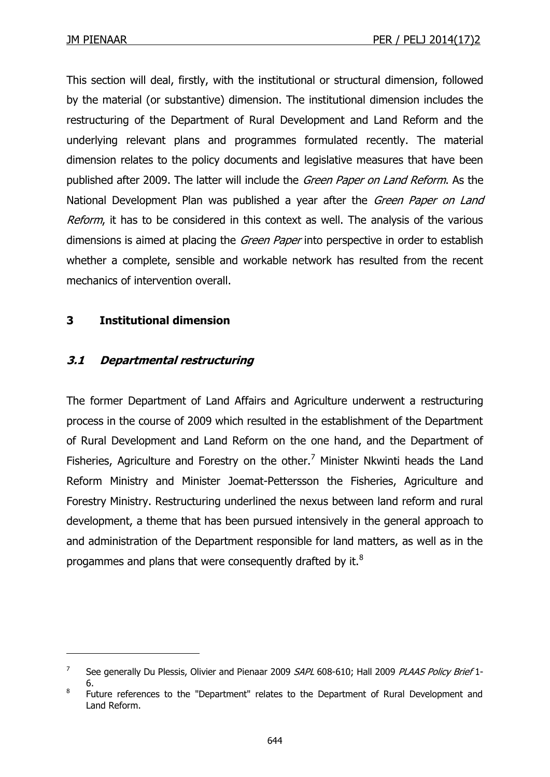This section will deal, firstly, with the institutional or structural dimension, followed by the material (or substantive) dimension. The institutional dimension includes the restructuring of the Department of Rural Development and Land Reform and the underlying relevant plans and programmes formulated recently. The material dimension relates to the policy documents and legislative measures that have been published after 2009. The latter will include the *Green Paper on Land Reform*. As the National Development Plan was published a year after the Green Paper on Land Reform, it has to be considered in this context as well. The analysis of the various dimensions is aimed at placing the *Green Paper* into perspective in order to establish whether a complete, sensible and workable network has resulted from the recent mechanics of intervention overall.

# **3 Institutional dimension**

-

# **3.1 Departmental restructuring**

The former Department of Land Affairs and Agriculture underwent a restructuring process in the course of 2009 which resulted in the establishment of the Department of Rural Development and Land Reform on the one hand, and the Department of Fisheries, Agriculture and Forestry on the other.<sup>7</sup> Minister Nkwinti heads the Land Reform Ministry and Minister Joemat-Pettersson the Fisheries, Agriculture and Forestry Ministry. Restructuring underlined the nexus between land reform and rural development, a theme that has been pursued intensively in the general approach to and administration of the Department responsible for land matters, as well as in the progammes and plans that were consequently drafted by it. $8$ 

<sup>7</sup> See generally Du Plessis, Olivier and Pienaar 2009 SAPL 608-610; Hall 2009 PLAAS Policy Brief 1-6.

<sup>8</sup> Future references to the "Department" relates to the Department of Rural Development and Land Reform.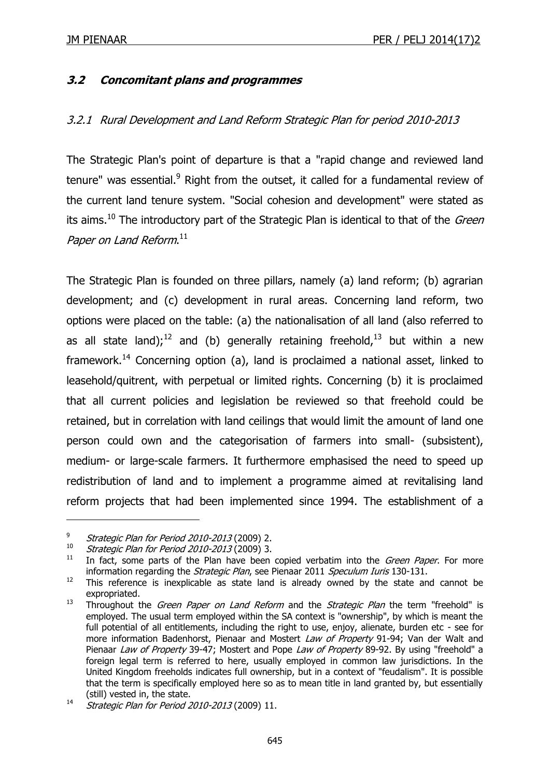# **3.2 Concomitant plans and programmes**

# 3.2.1 Rural Development and Land Reform Strategic Plan for period 2010-2013

The Strategic Plan's point of departure is that a "rapid change and reviewed land tenure" was essential. $9$  Right from the outset, it called for a fundamental review of the current land tenure system. "Social cohesion and development" were stated as its aims.<sup>10</sup> The introductory part of the Strategic Plan is identical to that of the *Green* Paper on Land Reform.<sup>11</sup>

The Strategic Plan is founded on three pillars, namely (a) land reform; (b) agrarian development; and (c) development in rural areas. Concerning land reform, two options were placed on the table: (a) the nationalisation of all land (also referred to as all state land);<sup>12</sup> and (b) generally retaining freehold,<sup>13</sup> but within a new framework.<sup>14</sup> Concerning option (a), land is proclaimed a national asset, linked to leasehold/quitrent, with perpetual or limited rights. Concerning (b) it is proclaimed that all current policies and legislation be reviewed so that freehold could be retained, but in correlation with land ceilings that would limit the amount of land one person could own and the categorisation of farmers into small- (subsistent), medium- or large-scale farmers. It furthermore emphasised the need to speed up redistribution of land and to implement a programme aimed at revitalising land reform projects that had been implemented since 1994. The establishment of a

<sup>9</sup> Strategic Plan for Period 2010-2013 (2009) 2.

<sup>&</sup>lt;sup>10</sup> Strategic Plan for Period 2010-2013 (2009) 3.<br><sup>11</sup> In fact, some parts of the Plan have been

In fact, some parts of the Plan have been copied verbatim into the *Green Paper*. For more information regarding the *Strategic Plan*, see Pienaar 2011 Speculum Iuris 130-131.

<sup>12</sup> This reference is inexplicable as state land is already owned by the state and cannot be expropriated.

<sup>&</sup>lt;sup>13</sup> Throughout the *Green Paper on Land Reform* and the *Strategic Plan* the term "freehold" is employed. The usual term employed within the SA context is "ownership", by which is meant the full potential of all entitlements, including the right to use, enjoy, alienate, burden etc - see for more information Badenhorst, Pienaar and Mostert Law of Property 91-94; Van der Walt and Pienaar Law of Property 39-47; Mostert and Pope Law of Property 89-92. By using "freehold" a foreign legal term is referred to here, usually employed in common law jurisdictions. In the United Kingdom freeholds indicates full ownership, but in a context of "feudalism". It is possible that the term is specifically employed here so as to mean title in land granted by, but essentially (still) vested in, the state.

<sup>14</sup> Strategic Plan for Period 2010-2013 (2009) 11.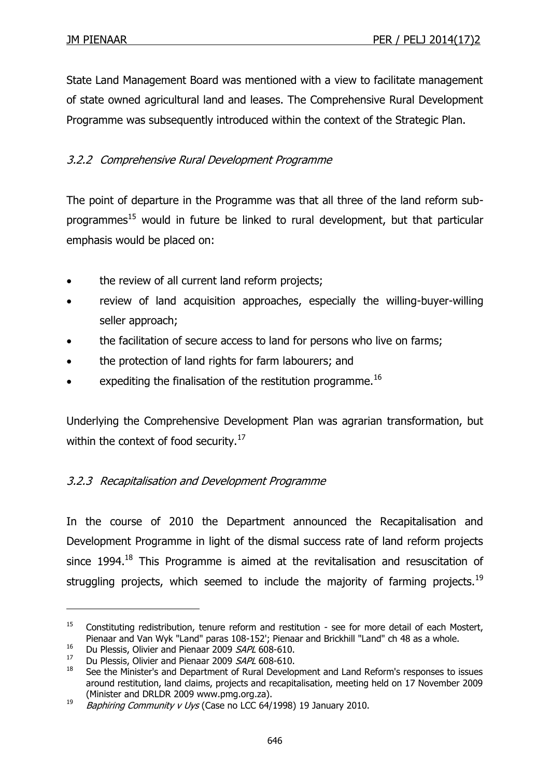State Land Management Board was mentioned with a view to facilitate management of state owned agricultural land and leases. The Comprehensive Rural Development Programme was subsequently introduced within the context of the Strategic Plan.

# 3.2.2 Comprehensive Rural Development Programme

The point of departure in the Programme was that all three of the land reform subprogrammes<sup>15</sup> would in future be linked to rural development, but that particular emphasis would be placed on:

- the review of all current land reform projects;
- review of land acquisition approaches, especially the willing-buyer-willing seller approach;
- the facilitation of secure access to land for persons who live on farms;
- the protection of land rights for farm labourers; and
- expediting the finalisation of the restitution programme.<sup>16</sup>

Underlying the Comprehensive Development Plan was agrarian transformation, but within the context of food security.<sup>17</sup>

# 3.2.3 Recapitalisation and Development Programme

In the course of 2010 the Department announced the Recapitalisation and Development Programme in light of the dismal success rate of land reform projects since  $1994.<sup>18</sup>$  This Programme is aimed at the revitalisation and resuscitation of struggling projects, which seemed to include the majority of farming projects.<sup>19</sup>

<sup>&</sup>lt;sup>15</sup> Constituting redistribution, tenure reform and restitution - see for more detail of each Mostert, Pienaar and Van Wyk "Land" paras 108-152'; Pienaar and Brickhill "Land" ch 48 as a whole.

<sup>&</sup>lt;sup>16</sup> Du Plessis, Olivier and Pienaar 2009 *SAPL* 608-610.

<sup>&</sup>lt;sup>17</sup> Du Plessis, Olivier and Pienaar 2009 *SAPL* 608-610.

<sup>18</sup> See the Minister's and Department of Rural Development and Land Reform's responses to issues around restitution, land claims, projects and recapitalisation, meeting held on 17 November 2009 (Minister and DRLDR 2009 www.pmg.org.za).

 $19$  Baphiring Community v Uys (Case no LCC 64/1998) 19 January 2010.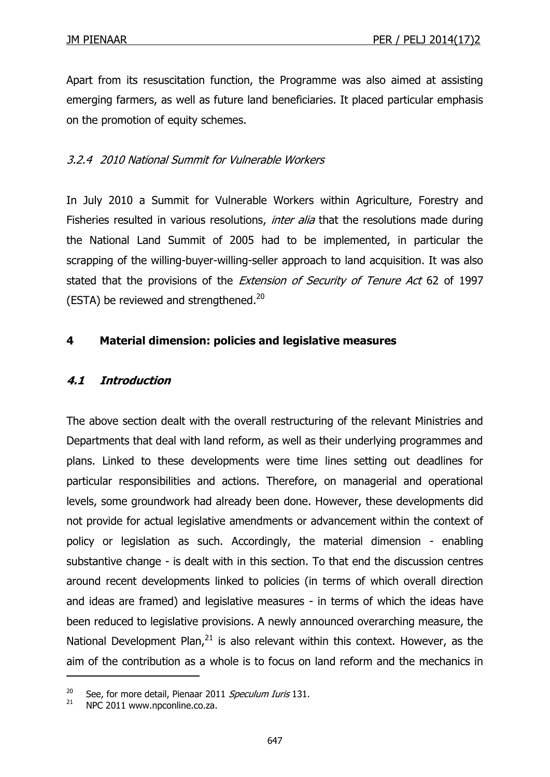Apart from its resuscitation function, the Programme was also aimed at assisting emerging farmers, as well as future land beneficiaries. It placed particular emphasis on the promotion of equity schemes.

# 3.2.4 2010 National Summit for Vulnerable Workers

In July 2010 a Summit for Vulnerable Workers within Agriculture, Forestry and Fisheries resulted in various resolutions, *inter alia* that the resolutions made during the National Land Summit of 2005 had to be implemented, in particular the scrapping of the willing-buyer-willing-seller approach to land acquisition. It was also stated that the provisions of the Extension of Security of Tenure Act 62 of 1997 (ESTA) be reviewed and strengthened. $^{20}$ 

# **4 Material dimension: policies and legislative measures**

#### **4.1 Introduction**

The above section dealt with the overall restructuring of the relevant Ministries and Departments that deal with land reform, as well as their underlying programmes and plans. Linked to these developments were time lines setting out deadlines for particular responsibilities and actions. Therefore, on managerial and operational levels, some groundwork had already been done. However, these developments did not provide for actual legislative amendments or advancement within the context of policy or legislation as such. Accordingly, the material dimension - enabling substantive change - is dealt with in this section. To that end the discussion centres around recent developments linked to policies (in terms of which overall direction and ideas are framed) and legislative measures - in terms of which the ideas have been reduced to legislative provisions. A newly announced overarching measure, the National Development Plan, $^{21}$  is also relevant within this context. However, as the aim of the contribution as a whole is to focus on land reform and the mechanics in

<sup>&</sup>lt;sup>20</sup> See, for more detail, Pienaar 2011 Speculum Iuris 131.

NPC 2011 www.npconline.co.za.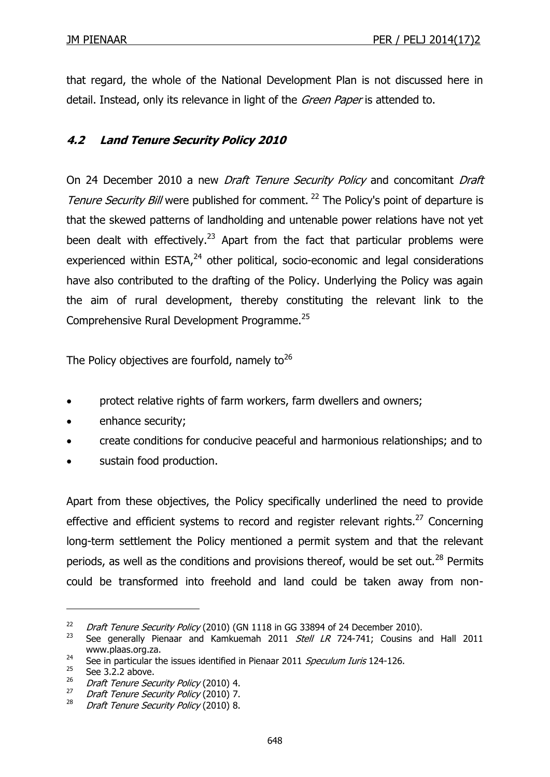that regard, the whole of the National Development Plan is not discussed here in detail. Instead, only its relevance in light of the *Green Paper* is attended to.

# **4.2 Land Tenure Security Policy 2010**

On 24 December 2010 a new *Draft Tenure Security Policy* and concomitant *Draft* Tenure Security Bill were published for comment.<sup>22</sup> The Policy's point of departure is that the skewed patterns of landholding and untenable power relations have not yet been dealt with effectively.<sup>23</sup> Apart from the fact that particular problems were experienced within ESTA, $^{24}$  other political, socio-economic and legal considerations have also contributed to the drafting of the Policy. Underlying the Policy was again the aim of rural development, thereby constituting the relevant link to the Comprehensive Rural Development Programme.<sup>25</sup>

The Policy objectives are fourfold, namely to $26$ 

- protect relative rights of farm workers, farm dwellers and owners;
- enhance security;
- create conditions for conducive peaceful and harmonious relationships; and to
- sustain food production.

Apart from these objectives, the Policy specifically underlined the need to provide effective and efficient systems to record and register relevant rights. $27$  Concerning long-term settlement the Policy mentioned a permit system and that the relevant periods, as well as the conditions and provisions thereof, would be set out.<sup>28</sup> Permits could be transformed into freehold and land could be taken away from non-

<sup>22</sup> Draft Tenure Security Policy (2010) (GN 1118 in GG 33894 of 24 December 2010).

See generally Pienaar and Kamkuemah 2011 Stell LR 724-741; Cousins and Hall 2011 www.plaas.org.za.

<sup>&</sup>lt;sup>24</sup> See in particular the issues identified in Pienaar 2011 Speculum Iuris 124-126.

 $\frac{25}{26}$  See 3.2.2 above.

<sup>&</sup>lt;sup>26</sup> Draft Tenure Security Policy (2010) 4.<br><sup>27</sup> Draft Tenure Security Policy (2010) 7

<sup>&</sup>lt;sup>27</sup> Draft Tenure Security Policy (2010) 7.<br><sup>28</sup> Draft Tenure Security Policy (2010) 8

Draft Tenure Security Policy (2010) 8.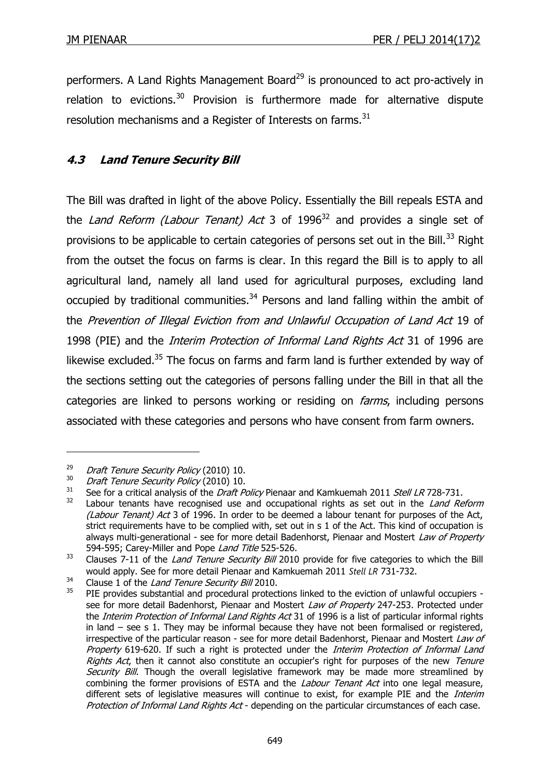performers. A Land Rights Management Board<sup>29</sup> is pronounced to act pro-actively in relation to evictions.<sup>30</sup> Provision is furthermore made for alternative dispute resolution mechanisms and a Register of Interests on farms. $31$ 

# **4.3 Land Tenure Security Bill**

The Bill was drafted in light of the above Policy. Essentially the Bill repeals ESTA and the *Land Reform (Labour Tenant) Act* 3 of 1996<sup>32</sup> and provides a single set of provisions to be applicable to certain categories of persons set out in the Bill.<sup>33</sup> Right from the outset the focus on farms is clear. In this regard the Bill is to apply to all agricultural land, namely all land used for agricultural purposes, excluding land occupied by traditional communities.<sup>34</sup> Persons and land falling within the ambit of the Prevention of Illegal Eviction from and Unlawful Occupation of Land Act 19 of 1998 (PIE) and the *Interim Protection of Informal Land Rights Act* 31 of 1996 are likewise excluded.<sup>35</sup> The focus on farms and farm land is further extended by way of the sections setting out the categories of persons falling under the Bill in that all the categories are linked to persons working or residing on *farms*, including persons associated with these categories and persons who have consent from farm owners.

<sup>&</sup>lt;sup>29</sup> Draft Tenure Security Policy (2010) 10.<br><sup>30</sup> Draft Tenure Coqurity Policy (2010) 10.

 $30$  Draft Tenure Security Policy (2010) 10.<br> $31$  See for a critical analysis of the *Draft Pr* 

<sup>&</sup>lt;sup>31</sup> See for a critical analysis of the *Draft Policy* Pienaar and Kamkuemah 2011 *Stell LR* 728-731.<br><sup>32</sup> Labour tenants have recognised use and occupational rights as set out in the *Land Be* 

Labour tenants have recognised use and occupational rights as set out in the Land Reform (Labour Tenant) Act 3 of 1996. In order to be deemed a labour tenant for purposes of the Act, strict requirements have to be complied with, set out in s 1 of the Act. This kind of occupation is always multi-generational - see for more detail Badenhorst, Pienaar and Mostert Law of Property 594-595; Carey-Miller and Pope Land Title 525-526.

 $33$  Clauses  $7-11$  of the Land Tenure Security Bill 2010 provide for five categories to which the Bill would apply. See for more detail Pienaar and Kamkuemah 2011 *Stell LR* 731-732.

 $34$  Clause 1 of the Land Tenure Security Bill 2010.

PIE provides substantial and procedural protections linked to the eviction of unlawful occupiers see for more detail Badenhorst, Pienaar and Mostert Law of Property 247-253. Protected under the Interim Protection of Informal Land Rights Act 31 of 1996 is a list of particular informal rights in land – see s 1. They may be informal because they have not been formalised or registered, irrespective of the particular reason - see for more detail Badenhorst, Pienaar and Mostert Law of Property 619-620. If such a right is protected under the *Interim Protection of Informal Land* Rights Act, then it cannot also constitute an occupier's right for purposes of the new Tenure Security Bill. Though the overall legislative framework may be made more streamlined by combining the former provisions of ESTA and the *Labour Tenant Act* into one legal measure, different sets of legislative measures will continue to exist, for example PIE and the *Interim* Protection of Informal Land Rights Act - depending on the particular circumstances of each case.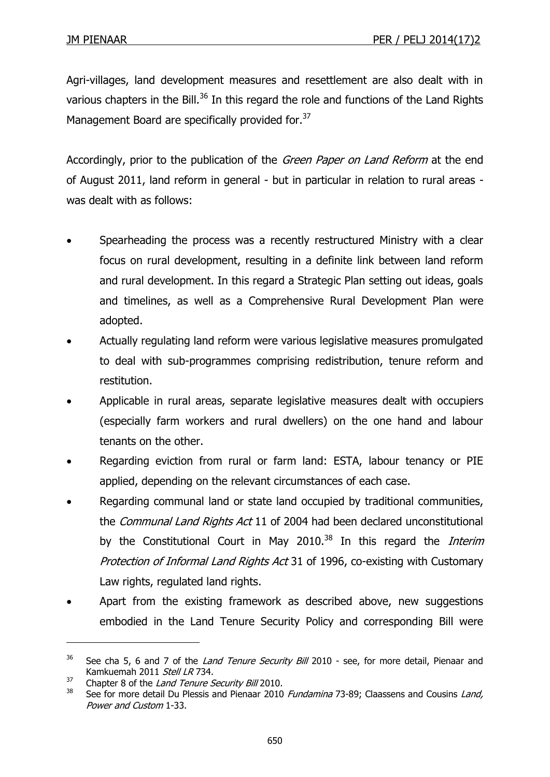Agri-villages, land development measures and resettlement are also dealt with in various chapters in the Bill.<sup>36</sup> In this regard the role and functions of the Land Rights Management Board are specifically provided for.<sup>37</sup>

Accordingly, prior to the publication of the *Green Paper on Land Reform* at the end of August 2011, land reform in general - but in particular in relation to rural areas was dealt with as follows:

- Spearheading the process was a recently restructured Ministry with a clear focus on rural development, resulting in a definite link between land reform and rural development. In this regard a Strategic Plan setting out ideas, goals and timelines, as well as a Comprehensive Rural Development Plan were adopted.
- Actually regulating land reform were various legislative measures promulgated to deal with sub-programmes comprising redistribution, tenure reform and restitution.
- Applicable in rural areas, separate legislative measures dealt with occupiers (especially farm workers and rural dwellers) on the one hand and labour tenants on the other.
- Regarding eviction from rural or farm land: ESTA, labour tenancy or PIE applied, depending on the relevant circumstances of each case.
- Regarding communal land or state land occupied by traditional communities, the *Communal Land Rights Act* 11 of 2004 had been declared unconstitutional by the Constitutional Court in May 2010. $38$  In this regard the *Interim* Protection of Informal Land Rights Act 31 of 1996, co-existing with Customary Law rights, regulated land rights.
- Apart from the existing framework as described above, new suggestions embodied in the Land Tenure Security Policy and corresponding Bill were

 $36$  See cha 5, 6 and 7 of the *Land Tenure Security Bill* 2010 - see, for more detail, Pienaar and Kamkuemah 2011 Stell LR 734.

 $37$  Chapter 8 of the *Land Tenure Security Bill* 2010.

See for more detail Du Plessis and Pienaar 2010 Fundamina 73-89; Claassens and Cousins Land, Power and Custom 1-33.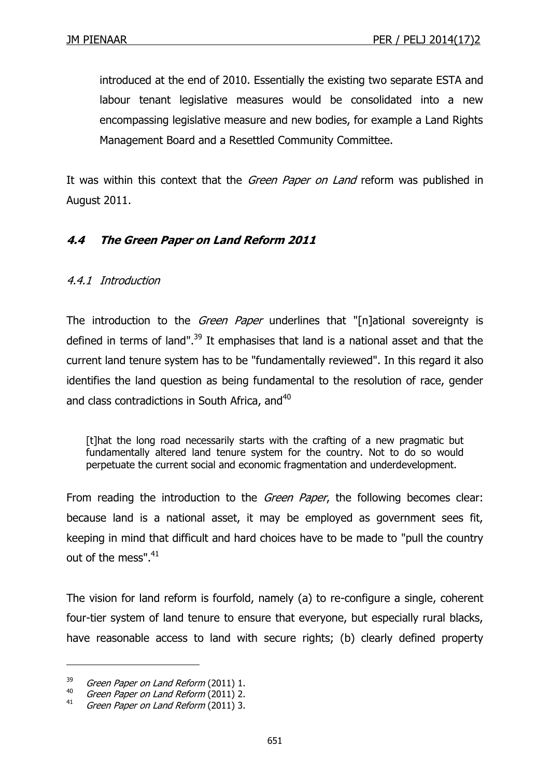introduced at the end of 2010. Essentially the existing two separate ESTA and labour tenant legislative measures would be consolidated into a new encompassing legislative measure and new bodies, for example a Land Rights Management Board and a Resettled Community Committee.

It was within this context that the *Green Paper on Land* reform was published in August 2011.

# **4.4 The Green Paper on Land Reform 2011**

#### 4.4.1 Introduction

The introduction to the *Green Paper* underlines that "[n]ational sovereignty is defined in terms of land".<sup>39</sup> It emphasises that land is a national asset and that the current land tenure system has to be "fundamentally reviewed". In this regard it also identifies the land question as being fundamental to the resolution of race, gender and class contradictions in South Africa, and  $40$ 

[t]hat the long road necessarily starts with the crafting of a new pragmatic but fundamentally altered land tenure system for the country. Not to do so would perpetuate the current social and economic fragmentation and underdevelopment.

From reading the introduction to the *Green Paper*, the following becomes clear: because land is a national asset, it may be employed as government sees fit, keeping in mind that difficult and hard choices have to be made to "pull the country out of the mess".<sup>41</sup>

The vision for land reform is fourfold, namely (a) to re-configure a single, coherent four-tier system of land tenure to ensure that everyone, but especially rural blacks, have reasonable access to land with secure rights; (b) clearly defined property

 $39$  Green Paper on Land Reform (2011) 1.

 $^{40}$  Green Paper on Land Reform (2011) 2.<br> $^{41}$  Green Paper on Land Reform (2011) 3.

Green Paper on Land Reform (2011) 3.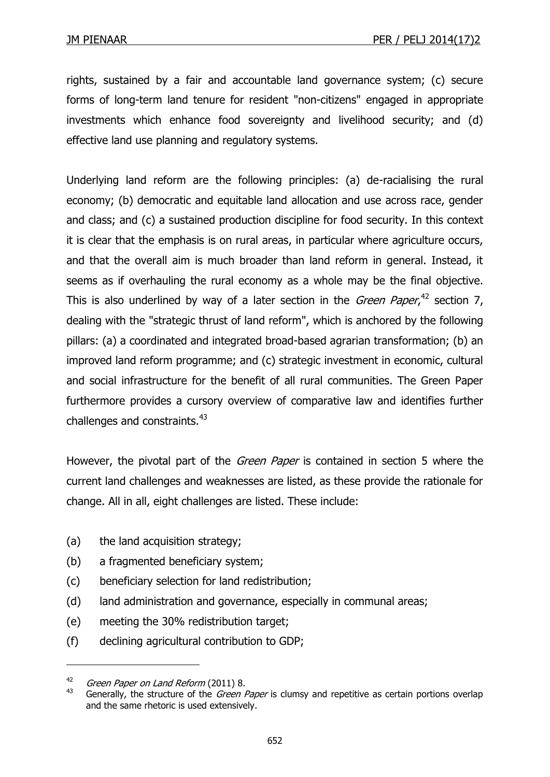rights, sustained by a fair and accountable land governance system; (c) secure forms of long-term land tenure for resident "non-citizens" engaged in appropriate investments which enhance food sovereignty and livelihood security; and (d) effective land use planning and regulatory systems.

Underlying land reform are the following principles: (a) de-racialising the rural economy; (b) democratic and equitable land allocation and use across race, gender and class; and (c) a sustained production discipline for food security. In this context it is clear that the emphasis is on rural areas, in particular where agriculture occurs, and that the overall aim is much broader than land reform in general. Instead, it seems as if overhauling the rural economy as a whole may be the final objective. This is also underlined by way of a later section in the *Green Paper*,<sup>42</sup> section 7, dealing with the "strategic thrust of land reform", which is anchored by the following pillars: (a) a coordinated and integrated broad-based agrarian transformation; (b) an improved land reform programme; and (c) strategic investment in economic, cultural and social infrastructure for the benefit of all rural communities. The Green Paper furthermore provides a cursory overview of comparative law and identifies further challenges and constraints.<sup>43</sup>

However, the pivotal part of the *Green Paper* is contained in section 5 where the current land challenges and weaknesses are listed, as these provide the rationale for change. All in all, eight challenges are listed. These include:

- (a) the land acquisition strategy;
- (b) a fragmented beneficiary system;
- (c) beneficiary selection for land redistribution;
- (d) land administration and governance, especially in communal areas;
- (e) meeting the 30% redistribution target;
- (f) declining agricultural contribution to GDP;

<sup>&</sup>lt;sup>42</sup> Green Paper on Land Reform (2011) 8.<br><sup>43</sup> Generally, the structure of the *Green L* 

Generally, the structure of the *Green Paper* is clumsy and repetitive as certain portions overlap and the same rhetoric is used extensively.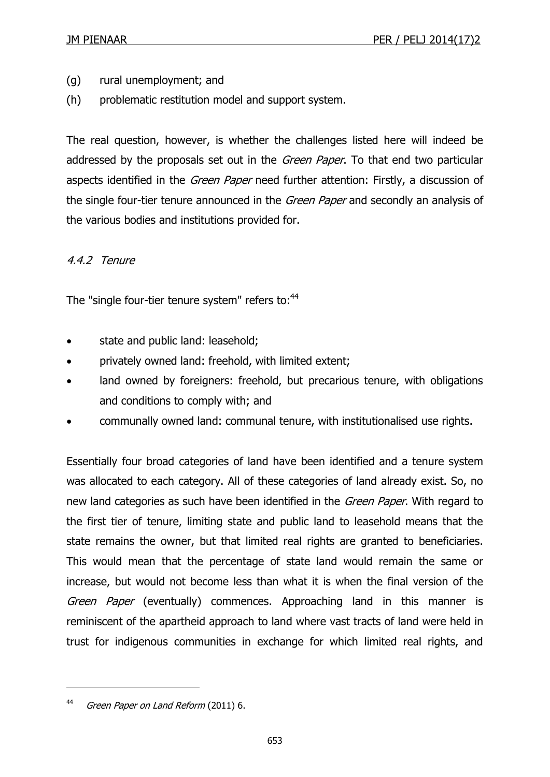- (g) rural unemployment; and
- (h) problematic restitution model and support system.

The real question, however, is whether the challenges listed here will indeed be addressed by the proposals set out in the *Green Paper*. To that end two particular aspects identified in the Green Paper need further attention: Firstly, a discussion of the single four-tier tenure announced in the *Green Paper* and secondly an analysis of the various bodies and institutions provided for.

# 4.4.2 Tenure

The "single four-tier tenure system" refers to:<sup>44</sup>

- state and public land: leasehold;
- privately owned land: freehold, with limited extent;
- land owned by foreigners: freehold, but precarious tenure, with obligations and conditions to comply with; and
- communally owned land: communal tenure, with institutionalised use rights.

Essentially four broad categories of land have been identified and a tenure system was allocated to each category. All of these categories of land already exist. So, no new land categories as such have been identified in the *Green Paper*. With regard to the first tier of tenure, limiting state and public land to leasehold means that the state remains the owner, but that limited real rights are granted to beneficiaries. This would mean that the percentage of state land would remain the same or increase, but would not become less than what it is when the final version of the Green Paper (eventually) commences. Approaching land in this manner is reminiscent of the apartheid approach to land where vast tracts of land were held in trust for indigenous communities in exchange for which limited real rights, and

<sup>&</sup>lt;sup>44</sup> Green Paper on Land Reform (2011) 6.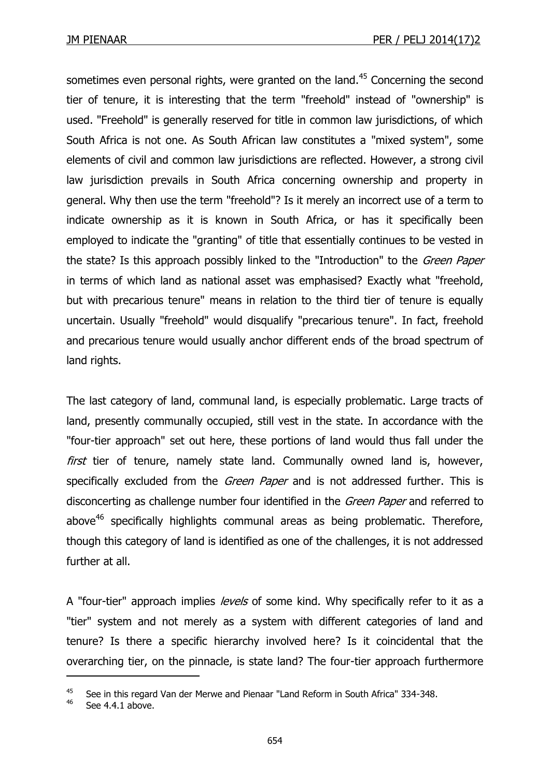sometimes even personal rights, were granted on the land.<sup>45</sup> Concerning the second tier of tenure, it is interesting that the term "freehold" instead of "ownership" is used. "Freehold" is generally reserved for title in common law jurisdictions, of which South Africa is not one. As South African law constitutes a "mixed system", some elements of civil and common law jurisdictions are reflected. However, a strong civil law jurisdiction prevails in South Africa concerning ownership and property in general. Why then use the term "freehold"? Is it merely an incorrect use of a term to indicate ownership as it is known in South Africa, or has it specifically been employed to indicate the "granting" of title that essentially continues to be vested in the state? Is this approach possibly linked to the "Introduction" to the *Green Paper* in terms of which land as national asset was emphasised? Exactly what "freehold, but with precarious tenure" means in relation to the third tier of tenure is equally uncertain. Usually "freehold" would disqualify "precarious tenure". In fact, freehold and precarious tenure would usually anchor different ends of the broad spectrum of land rights.

The last category of land, communal land, is especially problematic. Large tracts of land, presently communally occupied, still vest in the state. In accordance with the "four-tier approach" set out here, these portions of land would thus fall under the first tier of tenure, namely state land. Communally owned land is, however, specifically excluded from the *Green Paper* and is not addressed further. This is disconcerting as challenge number four identified in the *Green Paper* and referred to above $46$  specifically highlights communal areas as being problematic. Therefore, though this category of land is identified as one of the challenges, it is not addressed further at all.

A "four-tier" approach implies *levels* of some kind. Why specifically refer to it as a "tier" system and not merely as a system with different categories of land and tenure? Is there a specific hierarchy involved here? Is it coincidental that the overarching tier, on the pinnacle, is state land? The four-tier approach furthermore

<sup>&</sup>lt;sup>45</sup> See in this regard Van der Merwe and Pienaar "Land Reform in South Africa" 334-348.<br><sup>46</sup> See 4.4.1 above

See 4.4.1 above.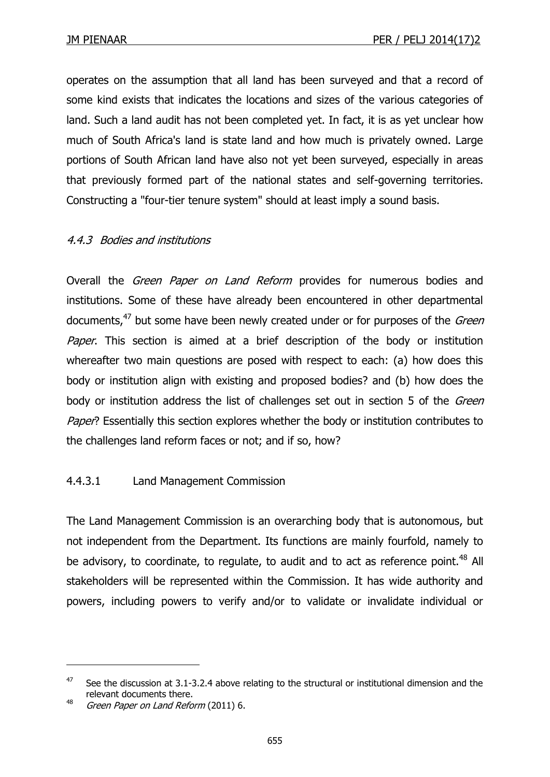operates on the assumption that all land has been surveyed and that a record of some kind exists that indicates the locations and sizes of the various categories of land. Such a land audit has not been completed yet. In fact, it is as yet unclear how much of South Africa's land is state land and how much is privately owned. Large portions of South African land have also not yet been surveyed, especially in areas that previously formed part of the national states and self-governing territories. Constructing a "four-tier tenure system" should at least imply a sound basis.

# 4.4.3 Bodies and institutions

Overall the *Green Paper on Land Reform* provides for numerous bodies and institutions. Some of these have already been encountered in other departmental documents,<sup>47</sup> but some have been newly created under or for purposes of the *Green* Paper. This section is aimed at a brief description of the body or institution whereafter two main questions are posed with respect to each: (a) how does this body or institution align with existing and proposed bodies? and (b) how does the body or institution address the list of challenges set out in section 5 of the *Green* Paper? Essentially this section explores whether the body or institution contributes to the challenges land reform faces or not; and if so, how?

#### 4.4.3.1 Land Management Commission

The Land Management Commission is an overarching body that is autonomous, but not independent from the Department. Its functions are mainly fourfold, namely to be advisory, to coordinate, to regulate, to audit and to act as reference point.<sup>48</sup> All stakeholders will be represented within the Commission. It has wide authority and powers, including powers to verify and/or to validate or invalidate individual or

 $47$  See the discussion at 3.1-3.2.4 above relating to the structural or institutional dimension and the relevant documents there.

<sup>48</sup> Green Paper on Land Reform (2011) 6.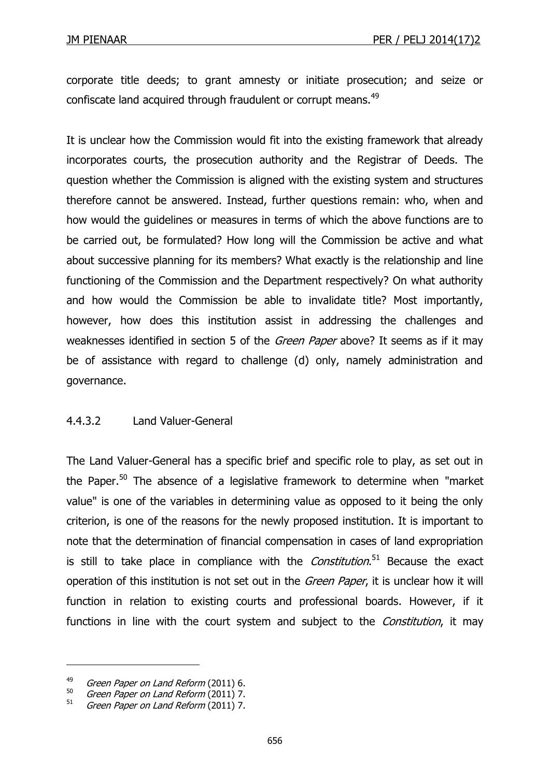corporate title deeds; to grant amnesty or initiate prosecution; and seize or confiscate land acquired through fraudulent or corrupt means.<sup>49</sup>

It is unclear how the Commission would fit into the existing framework that already incorporates courts, the prosecution authority and the Registrar of Deeds. The question whether the Commission is aligned with the existing system and structures therefore cannot be answered. Instead, further questions remain: who, when and how would the guidelines or measures in terms of which the above functions are to be carried out, be formulated? How long will the Commission be active and what about successive planning for its members? What exactly is the relationship and line functioning of the Commission and the Department respectively? On what authority and how would the Commission be able to invalidate title? Most importantly, however, how does this institution assist in addressing the challenges and weaknesses identified in section 5 of the *Green Paper* above? It seems as if it may be of assistance with regard to challenge (d) only, namely administration and governance.

#### 4.4.3.2 Land Valuer-General

The Land Valuer-General has a specific brief and specific role to play, as set out in the Paper.<sup>50</sup> The absence of a legislative framework to determine when "market value" is one of the variables in determining value as opposed to it being the only criterion, is one of the reasons for the newly proposed institution. It is important to note that the determination of financial compensation in cases of land expropriation is still to take place in compliance with the *Constitution*.<sup>51</sup> Because the exact operation of this institution is not set out in the *Green Paper*, it is unclear how it will function in relation to existing courts and professional boards. However, if it functions in line with the court system and subject to the *Constitution*, it may

<sup>&</sup>lt;sup>49</sup> Green Paper on Land Reform (2011) 6.<br><sup>50</sup> Green Paper on Land Reform (2011) 7

 $50$  Green Paper on Land Reform (2011) 7.<br> $51$  Green Baper on Land Beform (2011) 7.

Green Paper on Land Reform (2011) 7.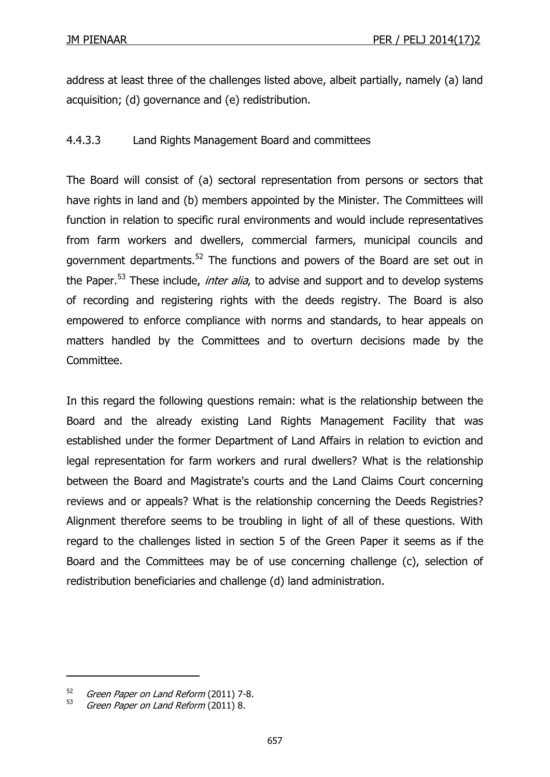address at least three of the challenges listed above, albeit partially, namely (a) land acquisition; (d) governance and (e) redistribution.

# 4.4.3.3 Land Rights Management Board and committees

The Board will consist of (a) sectoral representation from persons or sectors that have rights in land and (b) members appointed by the Minister. The Committees will function in relation to specific rural environments and would include representatives from farm workers and dwellers, commercial farmers, municipal councils and government departments.<sup>52</sup> The functions and powers of the Board are set out in the Paper.<sup>53</sup> These include, *inter alia*, to advise and support and to develop systems of recording and registering rights with the deeds registry. The Board is also empowered to enforce compliance with norms and standards, to hear appeals on matters handled by the Committees and to overturn decisions made by the Committee.

In this regard the following questions remain: what is the relationship between the Board and the already existing Land Rights Management Facility that was established under the former Department of Land Affairs in relation to eviction and legal representation for farm workers and rural dwellers? What is the relationship between the Board and Magistrate's courts and the Land Claims Court concerning reviews and or appeals? What is the relationship concerning the Deeds Registries? Alignment therefore seems to be troubling in light of all of these questions. With regard to the challenges listed in section 5 of the Green Paper it seems as if the Board and the Committees may be of use concerning challenge (c), selection of redistribution beneficiaries and challenge (d) land administration.

 $52$  Green Paper on Land Reform (2011) 7-8.<br> $53$  Green Paper on Land Reform (2011) 8

Green Paper on Land Reform (2011) 8.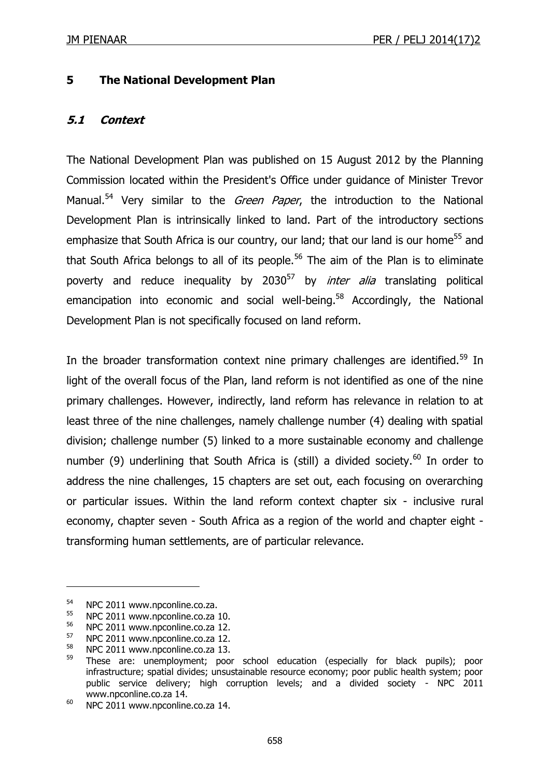# **5 The National Development Plan**

# **5.1 Context**

The National Development Plan was published on 15 August 2012 by the Planning Commission located within the President's Office under guidance of Minister Trevor Manual.<sup>54</sup> Very similar to the *Green Paper*, the introduction to the National Development Plan is intrinsically linked to land. Part of the introductory sections emphasize that South Africa is our country, our land; that our land is our home<sup>55</sup> and that South Africa belongs to all of its people.<sup>56</sup> The aim of the Plan is to eliminate poverty and reduce inequality by  $2030^{57}$  by *inter alia* translating political emancipation into economic and social well-being.<sup>58</sup> Accordingly, the National Development Plan is not specifically focused on land reform.

In the broader transformation context nine primary challenges are identified.<sup>59</sup> In light of the overall focus of the Plan, land reform is not identified as one of the nine primary challenges. However, indirectly, land reform has relevance in relation to at least three of the nine challenges, namely challenge number (4) dealing with spatial division; challenge number (5) linked to a more sustainable economy and challenge number (9) underlining that South Africa is (still) a divided society.<sup>60</sup> In order to address the nine challenges, 15 chapters are set out, each focusing on overarching or particular issues. Within the land reform context chapter six - inclusive rural economy, chapter seven - South Africa as a region of the world and chapter eight transforming human settlements, are of particular relevance.

 $54$  NPC 2011 www.npconline.co.za.

 $55$  NPC 2011 www.npconline.co.za 10.

 $^{56}$  NPC 2011 www.npconline.co.za 12.

 $^{57}$  NPC 2011 www.npconline.co.za 12.<br> $^{58}$  NPC 2011 www.npconline.co.za 13

 $58$  NPC 2011 www.npconline.co.za 13.

These are: unemployment; poor school education (especially for black pupils); poor infrastructure; spatial divides; unsustainable resource economy; poor public health system; poor public service delivery; high corruption levels; and a divided society - NPC 2011 www.npconline.co.za 14.

 $60$  NPC 2011 www.npconline.co.za 14.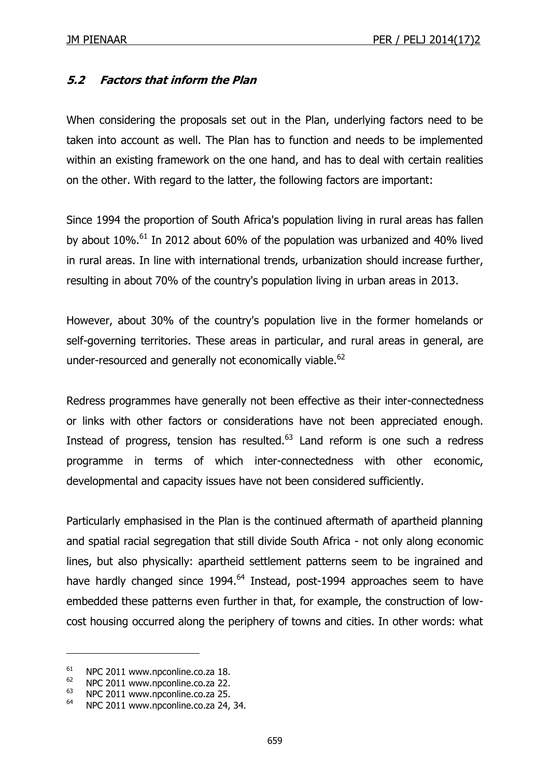# **5.2 Factors that inform the Plan**

When considering the proposals set out in the Plan, underlying factors need to be taken into account as well. The Plan has to function and needs to be implemented within an existing framework on the one hand, and has to deal with certain realities on the other. With regard to the latter, the following factors are important:

Since 1994 the proportion of South Africa's population living in rural areas has fallen by about 10%.<sup>61</sup> In 2012 about 60% of the population was urbanized and 40% lived in rural areas. In line with international trends, urbanization should increase further, resulting in about 70% of the country's population living in urban areas in 2013.

However, about 30% of the country's population live in the former homelands or self-governing territories. These areas in particular, and rural areas in general, are under-resourced and generally not economically viable.<sup>62</sup>

Redress programmes have generally not been effective as their inter-connectedness or links with other factors or considerations have not been appreciated enough. Instead of progress, tension has resulted. $63$  Land reform is one such a redress programme in terms of which inter-connectedness with other economic, developmental and capacity issues have not been considered sufficiently.

Particularly emphasised in the Plan is the continued aftermath of apartheid planning and spatial racial segregation that still divide South Africa - not only along economic lines, but also physically: apartheid settlement patterns seem to be ingrained and have hardly changed since 1994.<sup>64</sup> Instead, post-1994 approaches seem to have embedded these patterns even further in that, for example, the construction of lowcost housing occurred along the periphery of towns and cities. In other words: what

 $^{61}$  NPC 2011 www.npconline.co.za 18.

 $^{62}$  NPC 2011 www.npconline.co.za 22.

 $^{63}$  NPC 2011 www.npconline.co.za 25.

NPC 2011 www.npconline.co.za 24, 34.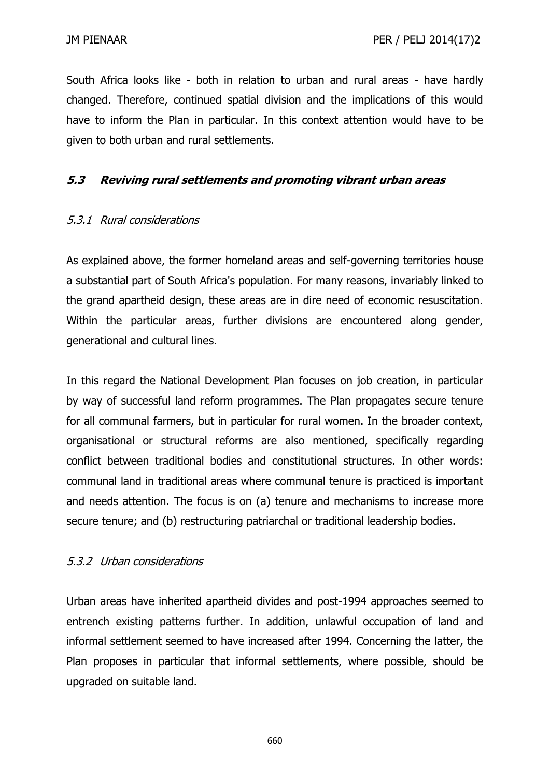South Africa looks like - both in relation to urban and rural areas - have hardly changed. Therefore, continued spatial division and the implications of this would have to inform the Plan in particular. In this context attention would have to be given to both urban and rural settlements.

# **5.3 Reviving rural settlements and promoting vibrant urban areas**

#### 5.3.1 Rural considerations

As explained above, the former homeland areas and self-governing territories house a substantial part of South Africa's population. For many reasons, invariably linked to the grand apartheid design, these areas are in dire need of economic resuscitation. Within the particular areas, further divisions are encountered along gender, generational and cultural lines.

In this regard the National Development Plan focuses on job creation, in particular by way of successful land reform programmes. The Plan propagates secure tenure for all communal farmers, but in particular for rural women. In the broader context, organisational or structural reforms are also mentioned, specifically regarding conflict between traditional bodies and constitutional structures. In other words: communal land in traditional areas where communal tenure is practiced is important and needs attention. The focus is on (a) tenure and mechanisms to increase more secure tenure; and (b) restructuring patriarchal or traditional leadership bodies.

#### 5.3.2 Urban considerations

Urban areas have inherited apartheid divides and post-1994 approaches seemed to entrench existing patterns further. In addition, unlawful occupation of land and informal settlement seemed to have increased after 1994. Concerning the latter, the Plan proposes in particular that informal settlements, where possible, should be upgraded on suitable land.

660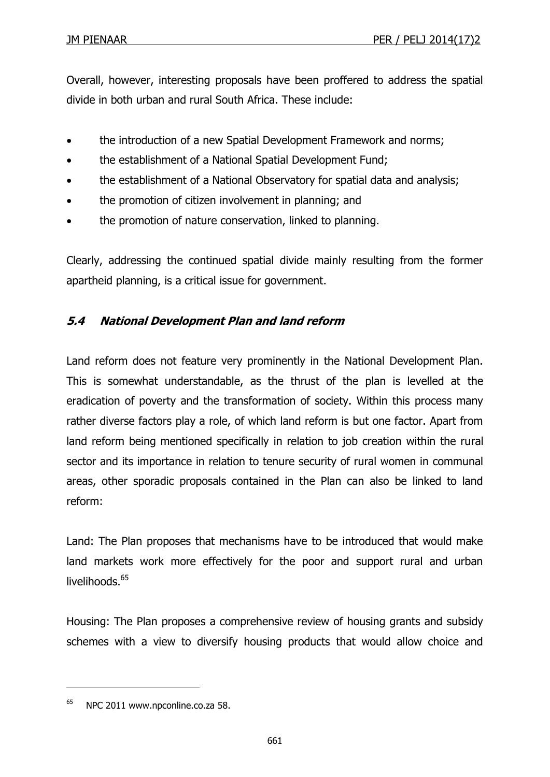Overall, however, interesting proposals have been proffered to address the spatial divide in both urban and rural South Africa. These include:

- the introduction of a new Spatial Development Framework and norms;
- the establishment of a National Spatial Development Fund;
- the establishment of a National Observatory for spatial data and analysis;
- the promotion of citizen involvement in planning; and
- the promotion of nature conservation, linked to planning.

Clearly, addressing the continued spatial divide mainly resulting from the former apartheid planning, is a critical issue for government.

# **5.4 National Development Plan and land reform**

Land reform does not feature very prominently in the National Development Plan. This is somewhat understandable, as the thrust of the plan is levelled at the eradication of poverty and the transformation of society. Within this process many rather diverse factors play a role, of which land reform is but one factor. Apart from land reform being mentioned specifically in relation to job creation within the rural sector and its importance in relation to tenure security of rural women in communal areas, other sporadic proposals contained in the Plan can also be linked to land reform:

Land: The Plan proposes that mechanisms have to be introduced that would make land markets work more effectively for the poor and support rural and urban livelihoods.<sup>65</sup>

Housing: The Plan proposes a comprehensive review of housing grants and subsidy schemes with a view to diversify housing products that would allow choice and

<sup>&</sup>lt;sup>65</sup> NPC 2011 www.npconline.co.za 58.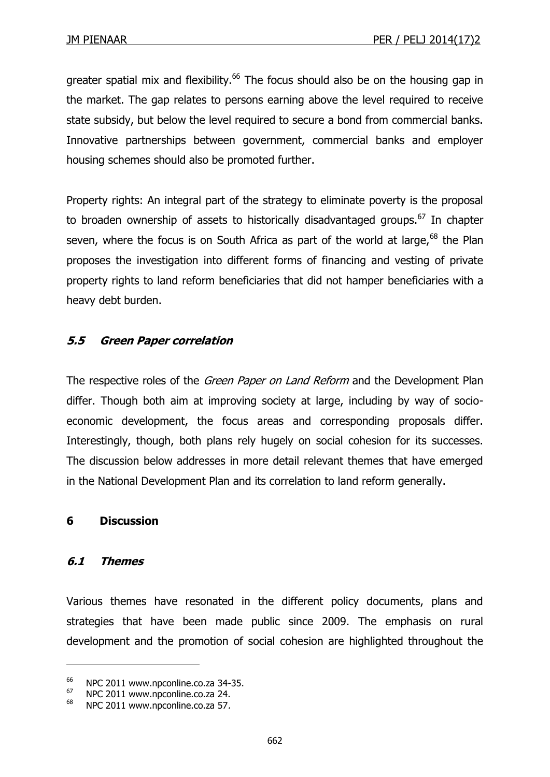greater spatial mix and flexibility.<sup>66</sup> The focus should also be on the housing gap in the market. The gap relates to persons earning above the level required to receive state subsidy, but below the level required to secure a bond from commercial banks. Innovative partnerships between government, commercial banks and employer housing schemes should also be promoted further.

Property rights: An integral part of the strategy to eliminate poverty is the proposal to broaden ownership of assets to historically disadvantaged groups.<sup>67</sup> In chapter seven, where the focus is on South Africa as part of the world at large,  $68$  the Plan proposes the investigation into different forms of financing and vesting of private property rights to land reform beneficiaries that did not hamper beneficiaries with a heavy debt burden.

# **5.5 Green Paper correlation**

The respective roles of the *Green Paper on Land Reform* and the Development Plan differ. Though both aim at improving society at large, including by way of socioeconomic development, the focus areas and corresponding proposals differ. Interestingly, though, both plans rely hugely on social cohesion for its successes. The discussion below addresses in more detail relevant themes that have emerged in the National Development Plan and its correlation to land reform generally.

#### **6 Discussion**

# **6.1 Themes**

-

Various themes have resonated in the different policy documents, plans and strategies that have been made public since 2009. The emphasis on rural development and the promotion of social cohesion are highlighted throughout the

 $^{66}$  NPC 2011 www.npconline.co.za 34-35.

 $^{67}$  NPC 2011 www.npconline.co.za 24.

NPC 2011 www.npconline.co.za 57.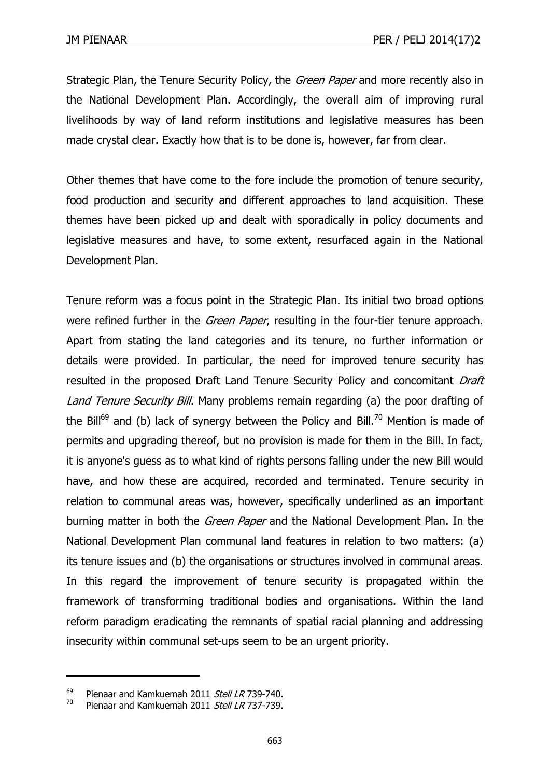Strategic Plan, the Tenure Security Policy, the *Green Paper* and more recently also in the National Development Plan. Accordingly, the overall aim of improving rural livelihoods by way of land reform institutions and legislative measures has been made crystal clear. Exactly how that is to be done is, however, far from clear.

Other themes that have come to the fore include the promotion of tenure security, food production and security and different approaches to land acquisition. These themes have been picked up and dealt with sporadically in policy documents and legislative measures and have, to some extent, resurfaced again in the National Development Plan.

Tenure reform was a focus point in the Strategic Plan. Its initial two broad options were refined further in the *Green Paper*, resulting in the four-tier tenure approach. Apart from stating the land categories and its tenure, no further information or details were provided. In particular, the need for improved tenure security has resulted in the proposed Draft Land Tenure Security Policy and concomitant Draft Land Tenure Security Bill. Many problems remain regarding (a) the poor drafting of the Bill<sup>69</sup> and (b) lack of synergy between the Policy and Bill.<sup>70</sup> Mention is made of permits and upgrading thereof, but no provision is made for them in the Bill. In fact, it is anyone's guess as to what kind of rights persons falling under the new Bill would have, and how these are acquired, recorded and terminated. Tenure security in relation to communal areas was, however, specifically underlined as an important burning matter in both the *Green Paper* and the National Development Plan. In the National Development Plan communal land features in relation to two matters: (a) its tenure issues and (b) the organisations or structures involved in communal areas. In this regard the improvement of tenure security is propagated within the framework of transforming traditional bodies and organisations. Within the land reform paradigm eradicating the remnants of spatial racial planning and addressing insecurity within communal set-ups seem to be an urgent priority.

<sup>&</sup>lt;sup>69</sup> Pienaar and Kamkuemah 2011 *Stell LR* 739-740.

Pienaar and Kamkuemah 2011 Stell LR 737-739.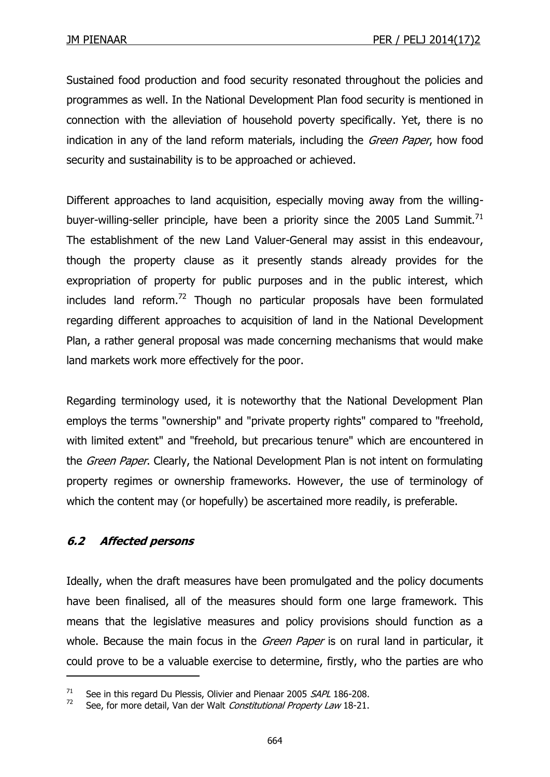Sustained food production and food security resonated throughout the policies and programmes as well. In the National Development Plan food security is mentioned in connection with the alleviation of household poverty specifically. Yet, there is no indication in any of the land reform materials, including the *Green Paper*, how food security and sustainability is to be approached or achieved.

Different approaches to land acquisition, especially moving away from the willingbuyer-willing-seller principle, have been a priority since the 2005 Land Summit.<sup>71</sup> The establishment of the new Land Valuer-General may assist in this endeavour, though the property clause as it presently stands already provides for the expropriation of property for public purposes and in the public interest, which includes land reform.<sup>72</sup> Though no particular proposals have been formulated regarding different approaches to acquisition of land in the National Development Plan, a rather general proposal was made concerning mechanisms that would make land markets work more effectively for the poor.

Regarding terminology used, it is noteworthy that the National Development Plan employs the terms "ownership" and "private property rights" compared to "freehold, with limited extent" and "freehold, but precarious tenure" which are encountered in the *Green Paper*. Clearly, the National Development Plan is not intent on formulating property regimes or ownership frameworks. However, the use of terminology of which the content may (or hopefully) be ascertained more readily, is preferable.

#### **6.2 Affected persons**

-

Ideally, when the draft measures have been promulgated and the policy documents have been finalised, all of the measures should form one large framework. This means that the legislative measures and policy provisions should function as a whole. Because the main focus in the *Green Paper* is on rural land in particular, it could prove to be a valuable exercise to determine, firstly, who the parties are who

<sup>&</sup>lt;sup>71</sup> See in this regard Du Plessis, Olivier and Pienaar 2005 *SAPL* 186-208.

See, for more detail, Van der Walt Constitutional Property Law 18-21.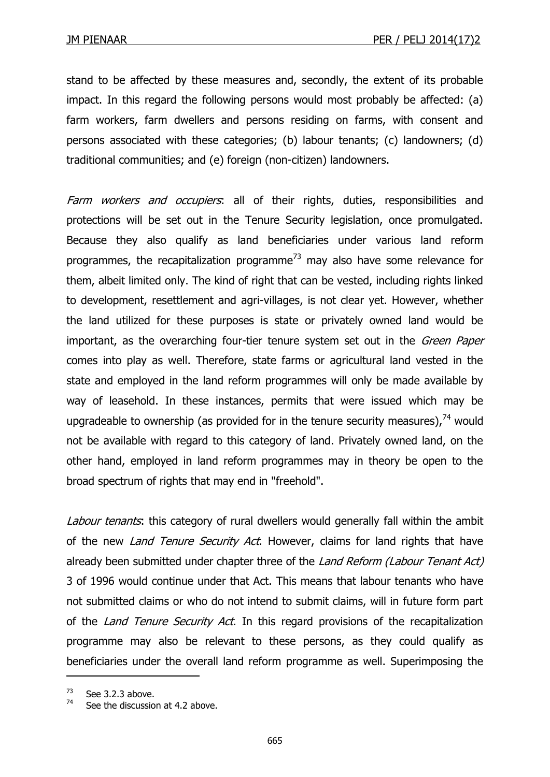stand to be affected by these measures and, secondly, the extent of its probable impact. In this regard the following persons would most probably be affected: (a) farm workers, farm dwellers and persons residing on farms, with consent and persons associated with these categories; (b) labour tenants; (c) landowners; (d) traditional communities; and (e) foreign (non-citizen) landowners.

Farm workers and occupiers: all of their rights, duties, responsibilities and protections will be set out in the Tenure Security legislation, once promulgated. Because they also qualify as land beneficiaries under various land reform programmes, the recapitalization programme<sup>73</sup> may also have some relevance for them, albeit limited only. The kind of right that can be vested, including rights linked to development, resettlement and agri-villages, is not clear yet. However, whether the land utilized for these purposes is state or privately owned land would be important, as the overarching four-tier tenure system set out in the *Green Paper* comes into play as well. Therefore, state farms or agricultural land vested in the state and employed in the land reform programmes will only be made available by way of leasehold. In these instances, permits that were issued which may be upgradeable to ownership (as provided for in the tenure security measures),  $74$  would not be available with regard to this category of land. Privately owned land, on the other hand, employed in land reform programmes may in theory be open to the broad spectrum of rights that may end in "freehold".

Labour tenants: this category of rural dwellers would generally fall within the ambit of the new *Land Tenure Security Act*. However, claims for land rights that have already been submitted under chapter three of the Land Reform (Labour Tenant Act) 3 of 1996 would continue under that Act. This means that labour tenants who have not submitted claims or who do not intend to submit claims, will in future form part of the Land Tenure Security Act. In this regard provisions of the recapitalization programme may also be relevant to these persons, as they could qualify as beneficiaries under the overall land reform programme as well. Superimposing the

 $\frac{73}{74}$  See 3.2.3 above.

See the discussion at 4.2 above.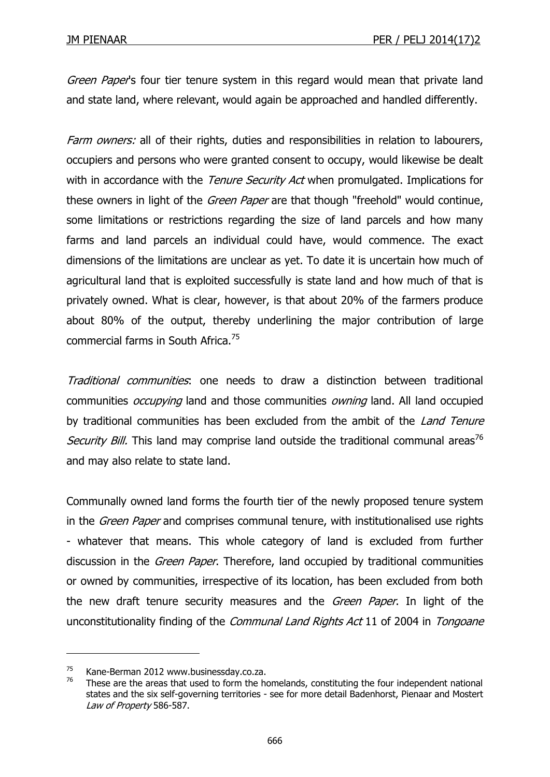Green Paper's four tier tenure system in this regard would mean that private land and state land, where relevant, would again be approached and handled differently.

Farm owners: all of their rights, duties and responsibilities in relation to labourers, occupiers and persons who were granted consent to occupy, would likewise be dealt with in accordance with the *Tenure Security Act* when promulgated. Implications for these owners in light of the *Green Paper* are that though "freehold" would continue, some limitations or restrictions regarding the size of land parcels and how many farms and land parcels an individual could have, would commence. The exact dimensions of the limitations are unclear as yet. To date it is uncertain how much of agricultural land that is exploited successfully is state land and how much of that is privately owned. What is clear, however, is that about 20% of the farmers produce about 80% of the output, thereby underlining the major contribution of large commercial farms in South Africa.<sup>75</sup>

Traditional communities: one needs to draw a distinction between traditional communities *occupying* land and those communities *owning* land. All land occupied by traditional communities has been excluded from the ambit of the Land Tenure *Security Bill.* This land may comprise land outside the traditional communal areas<sup>76</sup> and may also relate to state land.

Communally owned land forms the fourth tier of the newly proposed tenure system in the *Green Paper* and comprises communal tenure, with institutionalised use rights - whatever that means. This whole category of land is excluded from further discussion in the *Green Paper*. Therefore, land occupied by traditional communities or owned by communities, irrespective of its location, has been excluded from both the new draft tenure security measures and the *Green Paper*. In light of the unconstitutionality finding of the *Communal Land Rights Act* 11 of 2004 in *Tongoane* 

 $^{75}$  Kane-Berman 2012 www.businessday.co.za.

<sup>76</sup> These are the areas that used to form the homelands, constituting the four independent national states and the six self-governing territories - see for more detail Badenhorst, Pienaar and Mostert Law of Property 586-587.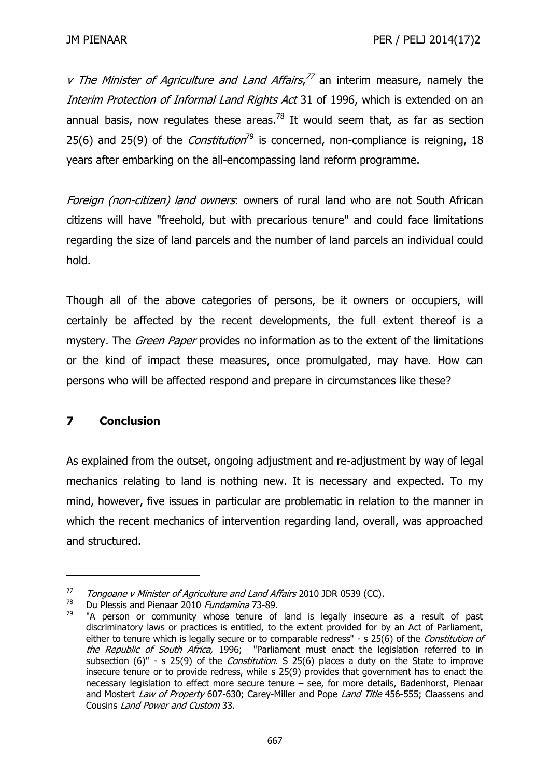v The Minister of Agriculture and Land Affairs, $^{77}$  an interim measure, namely the Interim Protection of Informal Land Rights Act 31 of 1996, which is extended on an annual basis, now regulates these areas.<sup>78</sup> It would seem that, as far as section 25(6) and 25(9) of the *Constitution*<sup>79</sup> is concerned, non-compliance is reigning, 18 years after embarking on the all-encompassing land reform programme.

Foreign (non-citizen) land owners: owners of rural land who are not South African citizens will have "freehold, but with precarious tenure" and could face limitations regarding the size of land parcels and the number of land parcels an individual could hold.

Though all of the above categories of persons, be it owners or occupiers, will certainly be affected by the recent developments, the full extent thereof is a mystery. The *Green Paper* provides no information as to the extent of the limitations or the kind of impact these measures, once promulgated, may have. How can persons who will be affected respond and prepare in circumstances like these?

# **7 Conclusion**

-

As explained from the outset, ongoing adjustment and re-adjustment by way of legal mechanics relating to land is nothing new. It is necessary and expected. To my mind, however, five issues in particular are problematic in relation to the manner in which the recent mechanics of intervention regarding land, overall, was approached and structured.

<sup>77</sup> Tongoane v Minister of Agriculture and Land Affairs 2010 JDR 0539 (CC).

 $^{78}$  Du Plessis and Pienaar 2010 *Fundamina* 73-89.

<sup>&</sup>quot;A person or community whose tenure of land is legally insecure as a result of past discriminatory laws or practices is entitled, to the extent provided for by an Act of Parliament, either to tenure which is legally secure or to comparable redress" - s 25(6) of the Constitution of the Republic of South Africa, 1996; "Parliament must enact the legislation referred to in subsection  $(6)$ " - s 25(9) of the *Constitution*. S 25(6) places a duty on the State to improve insecure tenure or to provide redress, while s 25(9) provides that government has to enact the necessary legislation to effect more secure tenure – see, for more details, Badenhorst, Pienaar and Mostert Law of Property 607-630; Carey-Miller and Pope Land Title 456-555; Claassens and Cousins Land Power and Custom 33.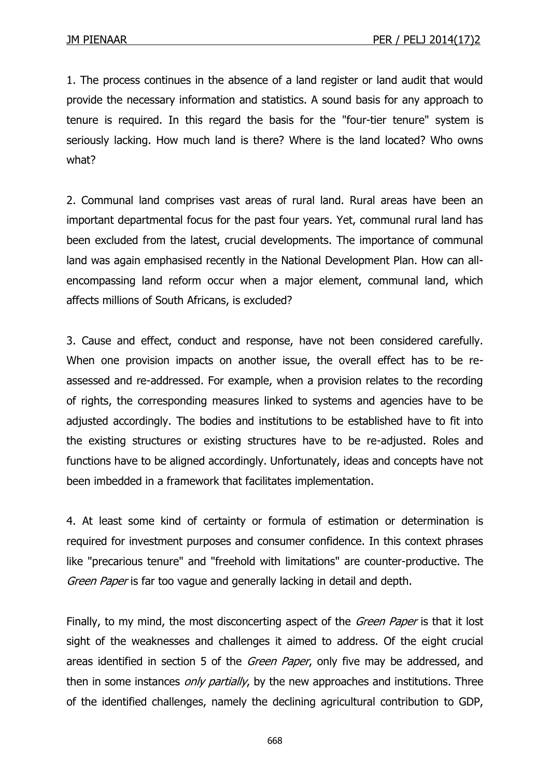1. The process continues in the absence of a land register or land audit that would provide the necessary information and statistics. A sound basis for any approach to tenure is required. In this regard the basis for the "four-tier tenure" system is seriously lacking. How much land is there? Where is the land located? Who owns what?

2. Communal land comprises vast areas of rural land. Rural areas have been an important departmental focus for the past four years. Yet, communal rural land has been excluded from the latest, crucial developments. The importance of communal land was again emphasised recently in the National Development Plan. How can allencompassing land reform occur when a major element, communal land, which affects millions of South Africans, is excluded?

3. Cause and effect, conduct and response, have not been considered carefully. When one provision impacts on another issue, the overall effect has to be reassessed and re-addressed. For example, when a provision relates to the recording of rights, the corresponding measures linked to systems and agencies have to be adjusted accordingly. The bodies and institutions to be established have to fit into the existing structures or existing structures have to be re-adjusted. Roles and functions have to be aligned accordingly. Unfortunately, ideas and concepts have not been imbedded in a framework that facilitates implementation.

4. At least some kind of certainty or formula of estimation or determination is required for investment purposes and consumer confidence. In this context phrases like "precarious tenure" and "freehold with limitations" are counter-productive. The Green Paper is far too vague and generally lacking in detail and depth.

Finally, to my mind, the most disconcerting aspect of the *Green Paper* is that it lost sight of the weaknesses and challenges it aimed to address. Of the eight crucial areas identified in section 5 of the *Green Paper*, only five may be addressed, and then in some instances *only partially*, by the new approaches and institutions. Three of the identified challenges, namely the declining agricultural contribution to GDP,

668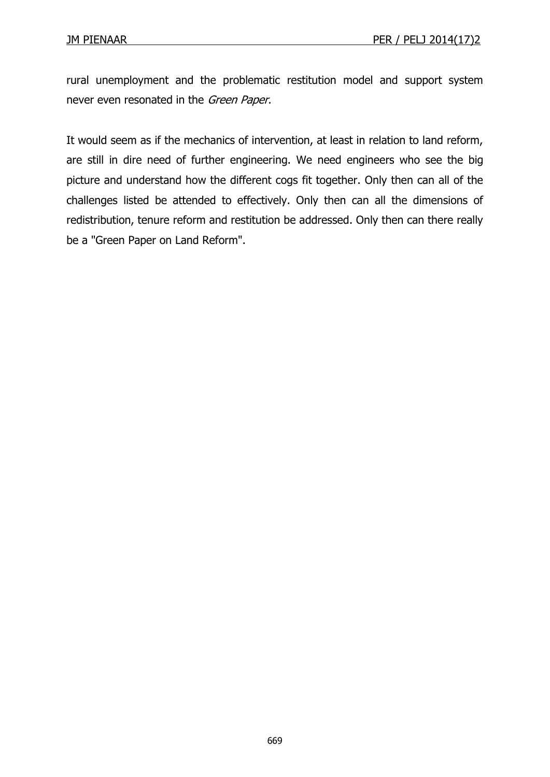rural unemployment and the problematic restitution model and support system never even resonated in the Green Paper.

It would seem as if the mechanics of intervention, at least in relation to land reform, are still in dire need of further engineering. We need engineers who see the big picture and understand how the different cogs fit together. Only then can all of the challenges listed be attended to effectively. Only then can all the dimensions of redistribution, tenure reform and restitution be addressed. Only then can there really be a "Green Paper on Land Reform".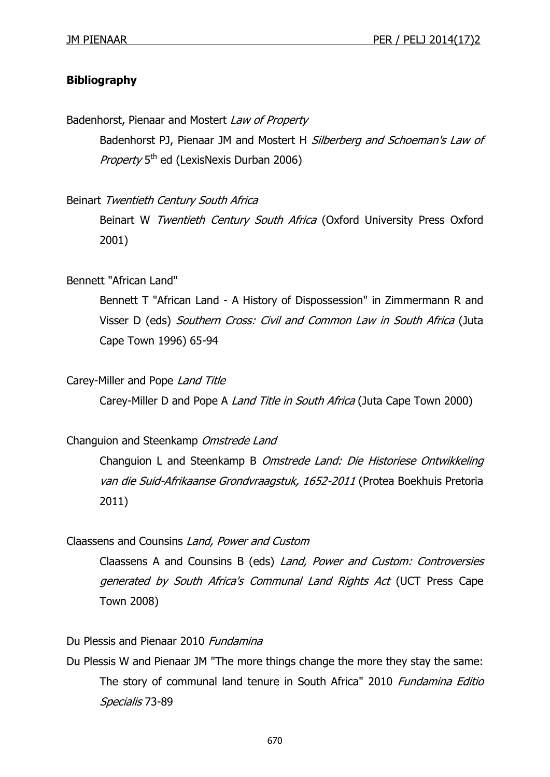# **Bibliography**

Badenhorst, Pienaar and Mostert Law of Property

Badenhorst PJ, Pienaar JM and Mostert H Silberberg and Schoeman's Law of Property 5<sup>th</sup> ed (LexisNexis Durban 2006)

#### Beinart Twentieth Century South Africa

Beinart W Twentieth Century South Africa (Oxford University Press Oxford 2001)

Bennett "African Land"

Bennett T "African Land - A History of Dispossession" in Zimmermann R and Visser D (eds) Southern Cross: Civil and Common Law in South Africa (Juta Cape Town 1996) 65-94

#### Carey-Miller and Pope Land Title

Carey-Miller D and Pope A *Land Title in South Africa* (Juta Cape Town 2000)

#### Changuion and Steenkamp Omstrede Land

Changuion L and Steenkamp B Omstrede Land: Die Historiese Ontwikkeling van die Suid-Afrikaanse Grondvraagstuk, 1652-2011 (Protea Boekhuis Pretoria 2011)

Claassens and Counsins Land, Power and Custom

Claassens A and Counsins B (eds) Land, Power and Custom: Controversies generated by South Africa's Communal Land Rights Act (UCT Press Cape Town 2008)

Du Plessis and Pienaar 2010 Fundamina

Du Plessis W and Pienaar JM "The more things change the more they stay the same: The story of communal land tenure in South Africa" 2010 Fundamina Editio Specialis 73-89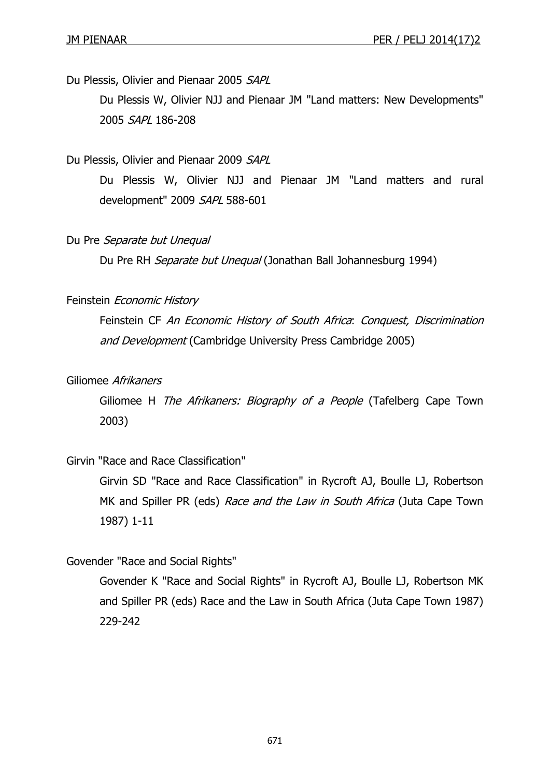Du Plessis, Olivier and Pienaar 2005 SAPL

Du Plessis W, Olivier NJJ and Pienaar JM "Land matters: New Developments" 2005 SAPL 186-208

#### Du Plessis, Olivier and Pienaar 2009 SAPL

Du Plessis W, Olivier NJJ and Pienaar JM "Land matters and rural development" 2009 SAPL 588-601

#### Du Pre Separate but Unequal

Du Pre RH Separate but Unequal (Jonathan Ball Johannesburg 1994)

# Feinstein Economic History

Feinstein CF An Economic History of South Africa: Conquest, Discrimination and Development (Cambridge University Press Cambridge 2005)

# Giliomee Afrikaners

Giliomee H The Afrikaners: Biography of a People (Tafelberg Cape Town 2003)

# Girvin "Race and Race Classification"

Girvin SD "Race and Race Classification" in Rycroft AJ, Boulle LJ, Robertson MK and Spiller PR (eds) Race and the Law in South Africa (Juta Cape Town 1987) 1-11

# Govender "Race and Social Rights"

Govender K "Race and Social Rights" in Rycroft AJ, Boulle LJ, Robertson MK and Spiller PR (eds) Race and the Law in South Africa (Juta Cape Town 1987) 229-242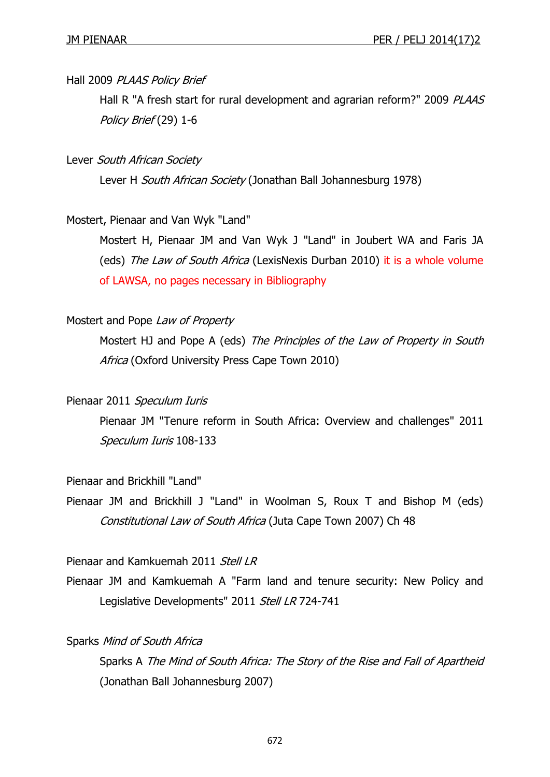#### Hall 2009 PLAAS Policy Brief

Hall R "A fresh start for rural development and agrarian reform?" 2009 PLAAS Policy Brief (29) 1-6

#### Lever South African Society

Lever H South African Society (Jonathan Ball Johannesburg 1978)

#### Mostert, Pienaar and Van Wyk "Land"

Mostert H, Pienaar JM and Van Wyk J "Land" in Joubert WA and Faris JA (eds) The Law of South Africa (LexisNexis Durban 2010) it is a whole volume of LAWSA, no pages necessary in Bibliography

# Mostert and Pope Law of Property

Mostert HJ and Pope A (eds) The Principles of the Law of Property in South Africa (Oxford University Press Cape Town 2010)

#### Pienaar 2011 Speculum Iuris

Pienaar JM "Tenure reform in South Africa: Overview and challenges" 2011 Speculum Iuris 108-133

#### Pienaar and Brickhill "Land"

Pienaar JM and Brickhill J "Land" in Woolman S, Roux T and Bishop M (eds) Constitutional Law of South Africa (Juta Cape Town 2007) Ch 48

# Pienaar and Kamkuemah 2011 Stell LR

Pienaar JM and Kamkuemah A "Farm land and tenure security: New Policy and Legislative Developments" 2011 Stell LR 724-741

#### Sparks Mind of South Africa

Sparks A The Mind of South Africa: The Story of the Rise and Fall of Apartheid (Jonathan Ball Johannesburg 2007)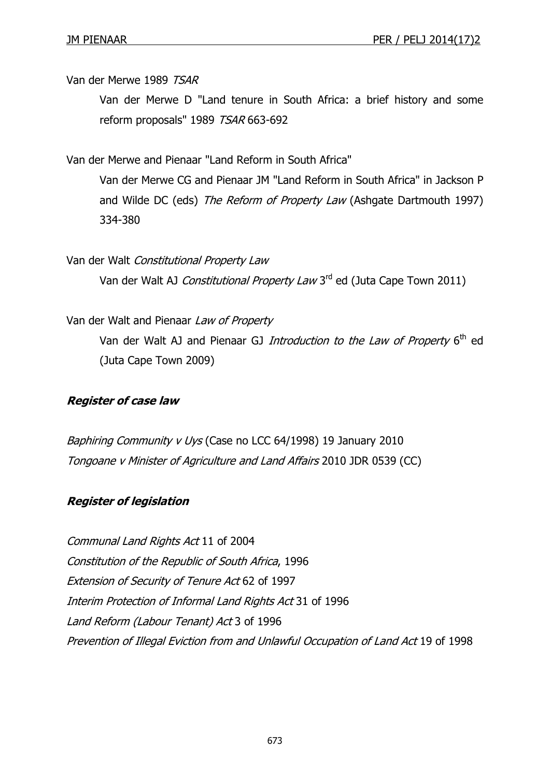Van der Merwe 1989 TSAR

Van der Merwe D "Land tenure in South Africa: a brief history and some reform proposals" 1989 TSAR 663-692

Van der Merwe and Pienaar "Land Reform in South Africa"

Van der Merwe CG and Pienaar JM "Land Reform in South Africa" in Jackson P and Wilde DC (eds) The Reform of Property Law (Ashgate Dartmouth 1997) 334-380

Van der Walt Constitutional Property Law

Van der Walt AJ *Constitutional Property Law* 3<sup>rd</sup> ed (Juta Cape Town 2011)

Van der Walt and Pienaar Law of Property

Van der Walt AJ and Pienaar GJ *Introduction to the Law of Property* 6<sup>th</sup> ed (Juta Cape Town 2009)

#### **Register of case law**

Baphiring Community v Uys (Case no LCC 64/1998) 19 January 2010 Tongoane v Minister of Agriculture and Land Affairs 2010 JDR 0539 (CC)

#### **Register of legislation**

Communal Land Rights Act 11 of 2004 Constitution of the Republic of South Africa, 1996 Extension of Security of Tenure Act 62 of 1997 Interim Protection of Informal Land Rights Act 31 of 1996 Land Reform (Labour Tenant) Act 3 of 1996 Prevention of Illegal Eviction from and Unlawful Occupation of Land Act 19 of 1998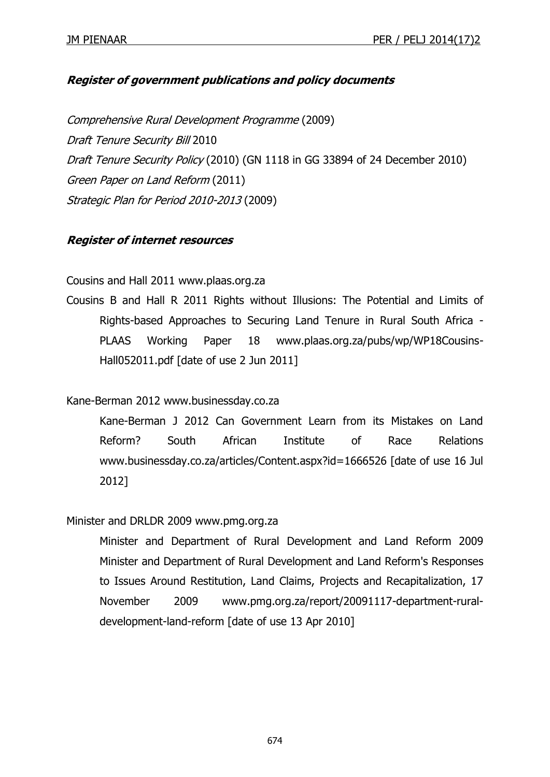# **Register of government publications and policy documents**

Comprehensive Rural Development Programme (2009) Draft Tenure Security Bill 2010 Draft Tenure Security Policy (2010) (GN 1118 in GG 33894 of 24 December 2010) Green Paper on Land Reform (2011) Strategic Plan for Period 2010-2013 (2009)

# **Register of internet resources**

Cousins and Hall 2011 www.plaas.org.za

Cousins B and Hall R 2011 Rights without Illusions: The Potential and Limits of Rights-based Approaches to Securing Land Tenure in Rural South Africa - PLAAS Working Paper 18 www.plaas.org.za/pubs/wp/WP18Cousins-Hall052011.pdf [date of use 2 Jun 2011]

#### Kane-Berman 2012 www.businessday.co.za

Kane-Berman J 2012 Can Government Learn from its Mistakes on Land Reform? South African Institute of Race Relations www.businessday.co.za/articles/Content.aspx?id=1666526 [date of use 16 Jul 2012]

#### Minister and DRLDR 2009 www.pmg.org.za

Minister and Department of Rural Development and Land Reform 2009 Minister and Department of Rural Development and Land Reform's Responses to Issues Around Restitution, Land Claims, Projects and Recapitalization, 17 November 2009 www.pmg.org.za/report/20091117-department-ruraldevelopment-land-reform [date of use 13 Apr 2010]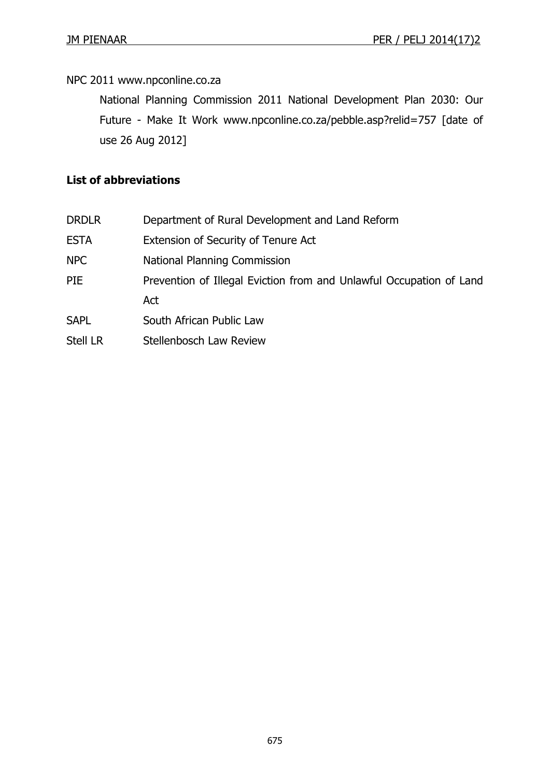# NPC 2011 www.npconline.co.za

National Planning Commission 2011 National Development Plan 2030: Our Future - Make It Work www.npconline.co.za/pebble.asp?relid=757 [date of use 26 Aug 2012]

# **List of abbreviations**

| <b>DRDLR</b>    | Department of Rural Development and Land Reform                     |
|-----------------|---------------------------------------------------------------------|
| <b>ESTA</b>     | Extension of Security of Tenure Act                                 |
| <b>NPC</b>      | National Planning Commission                                        |
| <b>PIE</b>      | Prevention of Illegal Eviction from and Unlawful Occupation of Land |
|                 | Act                                                                 |
| <b>SAPL</b>     | South African Public Law                                            |
| <b>Stell LR</b> | Stellenbosch Law Review                                             |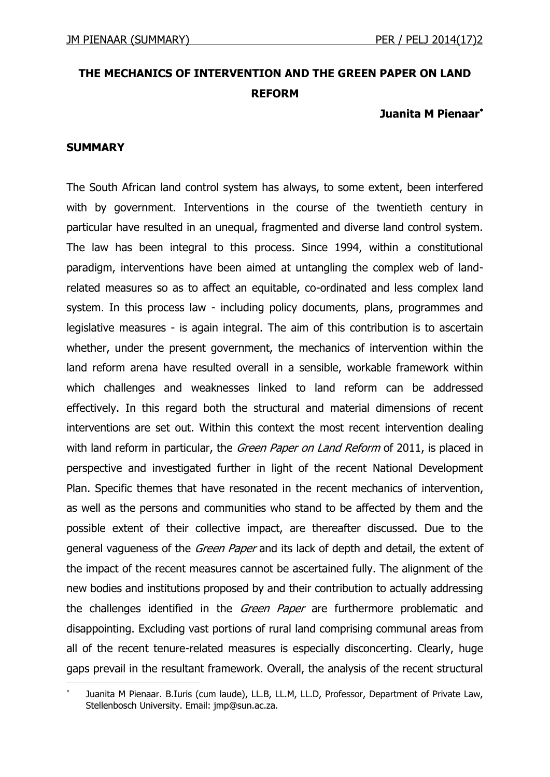# **THE MECHANICS OF INTERVENTION AND THE GREEN PAPER ON LAND REFORM**

# **Juanita M Pienaar**

#### **SUMMARY**

1

The South African land control system has always, to some extent, been interfered with by government. Interventions in the course of the twentieth century in particular have resulted in an unequal, fragmented and diverse land control system. The law has been integral to this process. Since 1994, within a constitutional paradigm, interventions have been aimed at untangling the complex web of landrelated measures so as to affect an equitable, co-ordinated and less complex land system. In this process law - including policy documents, plans, programmes and legislative measures - is again integral. The aim of this contribution is to ascertain whether, under the present government, the mechanics of intervention within the land reform arena have resulted overall in a sensible, workable framework within which challenges and weaknesses linked to land reform can be addressed effectively. In this regard both the structural and material dimensions of recent interventions are set out. Within this context the most recent intervention dealing with land reform in particular, the *Green Paper on Land Reform* of 2011, is placed in perspective and investigated further in light of the recent National Development Plan. Specific themes that have resonated in the recent mechanics of intervention, as well as the persons and communities who stand to be affected by them and the possible extent of their collective impact, are thereafter discussed. Due to the general vagueness of the *Green Paper* and its lack of depth and detail, the extent of the impact of the recent measures cannot be ascertained fully. The alignment of the new bodies and institutions proposed by and their contribution to actually addressing the challenges identified in the *Green Paper* are furthermore problematic and disappointing. Excluding vast portions of rural land comprising communal areas from all of the recent tenure-related measures is especially disconcerting. Clearly, huge gaps prevail in the resultant framework. Overall, the analysis of the recent structural

<sup>×</sup> Juanita M Pienaar. B.Iuris (cum laude), LL.B, LL.M, LL.D, Professor, Department of Private Law, Stellenbosch University. Email: jmp@sun.ac.za.